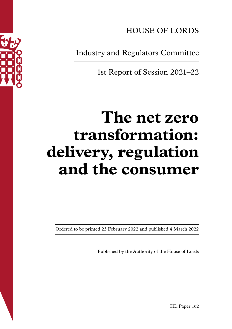

HOUSE OF LORDS

Industry and Regulators Committee

1st Report of Session 2021–22

# **The net zero transformation: delivery, regulation and the consumer**

Ordered to be printed 23 February 2022 and published 4 March 2022

Published by the Authority of the House of Lords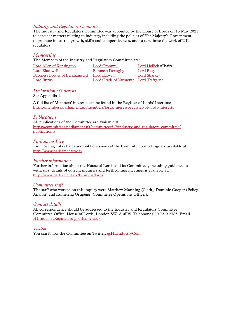#### *Industry and Regulators Committee*

The Industry and Regulators Committee was appointed by the House of Lords on 13 May 2021 to consider matters relating to industry, including the policies of Her Majesty's Government to promote industrial growth, skills and competitiveness, and to scrutinise the work of UK regulators.

#### *Membership*

The Members of the Industry and Regulators Committee are:

| Lord Allen of Kensington       | Lord Cromwell                         | Lord Hollick (Chair) |
|--------------------------------|---------------------------------------|----------------------|
| Lord Blackwell                 | <b>Baroness Donaghy</b>               | Lord Reav            |
| Baroness Bowles of Berkhamsted | Lord Eatwell                          | <b>Lord Sharkey</b>  |
| Lord Burns                     | Lord Grade of Yarmouth Lord Trefgarne |                      |

#### *Declaration of interests*

See Appendix 1.

A full list of Members' interests can be found in the Register of Lords' Interests: <https://members.parliament.uk/members/lords/interests/register-of-lords-interests>

#### *Publications*

All publications of the Committee are available at: [https://committees.parliament.uk/committee/517/industry-and-regulators-committee/](https://committees.parliament.uk/committee/517/industry-and-regulators-committee/publications/) [publications/](https://committees.parliament.uk/committee/517/industry-and-regulators-committee/publications/)

#### *Parliament Live*

Live coverage of debates and public sessions of the Committee's meetings are available at: <http://www.parliamentlive.tv>

#### *Further information*

Further information about the House of Lords and its Committees, including guidance to witnesses, details of current inquiries and forthcoming meetings is available at: <http://www.parliament.uk/business/lords>

#### *Committee staff*

The staff who worked on this inquiry were Matthew Manning (Clerk), Dominic Cooper (Policy Analyst) and Itumeleng Osupeng (Committee Operations Officer).

#### *Contact details*

All correspondence should be addressed to the Industry and Regulators Committee, Committee Office, House of Lords, London SW1A 0PW. Telephone 020 7219 2785. Email HLIndustryRegulators@parliament.uk

*Twitter*

You can follow the Committee on Twitter: [@HLIndustryCom](https://twitter.com/HLIndustryCom)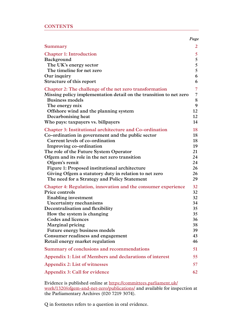|                                                                                         | Page           |
|-----------------------------------------------------------------------------------------|----------------|
| Summary                                                                                 | 2              |
| <b>Chapter 1: Introduction</b>                                                          | 5 <sup>5</sup> |
| Background<br>The UK's energy sector                                                    | 5<br>5         |
| The timeline for net zero                                                               | 5              |
| Our inquiry                                                                             | 6              |
| Structure of this report                                                                | 6              |
| Chapter 2: The challenge of the net zero transformation                                 | $\overline{7}$ |
| Missing policy implementation detail on the transition to net zero                      | 7              |
| <b>Business models</b>                                                                  | 8              |
| The energy mix<br>Offshore wind and the planning system                                 | 9<br>12        |
| Decarbonising heat                                                                      | 12             |
| Who pays: taxpayers vs. billpayers                                                      | 14             |
| <b>Chapter 3: Institutional architecture and Co-ordination</b>                          | 18             |
| Co-ordination in government and the public sector                                       | 18             |
| Current levels of co-ordination                                                         | 18             |
| Improving co-ordination                                                                 | 19<br>21       |
| The role of the Future System Operator<br>Ofgem and its role in the net zero transition | 24             |
| Ofgem's remit                                                                           | 24             |
| Figure 1: Proposed institutional architecture                                           | 26             |
| Giving Ofgem a statutory duty in relation to net zero                                   | 26             |
| The need for a Strategy and Policy Statement                                            | 29             |
| Chapter 4: Regulation, innovation and the consumer experience                           | 32             |
| Price controls                                                                          | 32             |
| <b>Enabling investment</b><br>Uncertainty mechanisms                                    | 32<br>34       |
| Decentralisation and flexibility                                                        | 35             |
| How the system is changing                                                              | 35             |
| Codes and licences                                                                      | 36             |
| Marginal pricing                                                                        | 38             |
| Future energy business models                                                           | 39             |
| Consumer readiness and engagement                                                       | 43             |
| Retail energy market regulation                                                         | 46             |
| Summary of conclusions and recommendations                                              | 51             |
| Appendix 1: List of Members and declarations of interest                                | 55             |
| Appendix 2: List of witnesses                                                           | 57             |
| Appendix 3: Call for evidence                                                           | 62             |

Evidence is published online at [https://committees.parliament.uk/](https://committees.parliament.uk/work/1320/ofgem-and-net-zero/publications/) [work/1320/ofgem-and-net-zero/publications/](https://committees.parliament.uk/work/1320/ofgem-and-net-zero/publications/) and available for inspection at the Parliamentary Archives (020 7219 3074).

Q in footnotes refers to a question in oral evidence.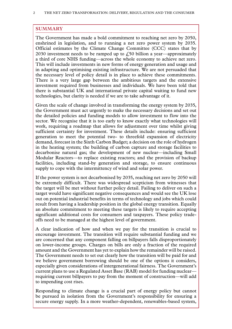## <span id="page-3-0"></span>**SUMMARY**

The Government has made a bold commitment to reaching net zero by 2050, enshrined in legislation, and to running a net zero power system by 2035. Official estimates by the Climate Change Committee (CCC) states that by 2030 investment needs to be ramped up to  $\ell$ ,50 billion a year—approximately a third of core NHS funding—across the whole economy to achieve net zero. This will include investments in new forms of energy generation and usage and in adapting and optimising existing infrastructure. We are not persuaded that the necessary level of policy detail is in place to achieve these commitments. There is a very large gap between the ambitious targets and the extensive investment required from businesses and individuals. We have been told that there is substantial UK and international private capital waiting to fund new technologies, but clarity is needed if we are to take advantage of it.

Given the scale of change involved in transforming the energy system by 2035, the Government must act urgently to make the necessary decisions and set out the detailed policies and funding models to allow investment to flow into the sector. We recognise that it is too early to know exactly what technologies will work, requiring a roadmap that allows for adjustment over time whilst giving sufficient certainty for investment. These details include: ensuring sufficient generation to meet the potential two- to threefold expansion of electricity demand, forecast in the Sixth Carbon Budget; a decision on the role of hydrogen in the heating system; the building of carbon capture and storage facilities to decarbonise natural gas; the development of new nuclear—including Small Modular Reactors—to replace existing reactors; and the provision of backup facilities, including stand-by generation and storage, to ensure continuous supply to cope with the intermittency of wind and solar power.

If the power system is not decarbonised by 2035, reaching net zero by 2050 will be extremely difficult. There was widespread scepticism from witnesses that the target will be met without further policy detail. Failing to deliver on such a target would have significant negative consequences and would see the UK lose out on potential industrial benefits in terms of technology and jobs which could result from having a leadership position in the global energy transition. Equally an absolute commitment to meeting these targets is likely to require accepting significant additional costs for consumers and taxpayers. These policy tradeoffs need to be managed at the highest level of government.

A clear indication of how and when we pay for the transition is crucial to encourage investment. The transition will require substantial funding and we are concerned that any component falling on billpayers falls disproportionately on lower-income groups. Charges on bills are only a fraction of the required amount and the Government has yet to explain how the remainder will be raised. The Government needs to set out clearly how the transition will be paid for and we believe government borrowing should be one of the options it considers, especially given considerations of intergenerational fairness. The Government's current plans to use a Regulated Asset Base (RAB) model for funding nuclear requiring current billpayers to pay from the moment of construction—will add to impending cost rises.

Responding to climate change is a crucial part of energy policy but cannot be pursued in isolation from the Government's responsibility for ensuring a secure energy supply. In a more weather-dependent, renewables-based system,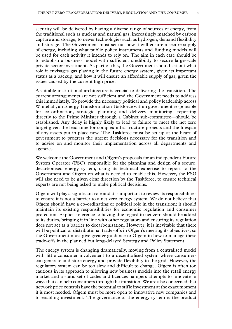security will be delivered by having a diverse range of sources of energy, from the traditional such as nuclear and natural gas, increasingly matched by carbon capture and storage, to newer technologies such as hydrogen, demand flexibility and storage. The Government must set out how it will ensure a secure supply of energy, including what public policy instruments and funding models will be used for each activity it intends to rely on. The aim in each case should be to establish a business model with sufficient credibility to secure large-scale private sector investment. As part of this, the Government should set out what role it envisages gas playing in the future energy system, given its important status as a backup, and how it will ensure an affordable supply of gas, given the issues caused by the current high price.

A suitable institutional architecture is crucial to delivering the transition. The current arrangements are not sufficient and the Government needs to address this immediately. To provide the necessary political and policy leadership across Whitehall, an Energy Transformation Taskforce within government responsible for co-ordination, strategic planning and delivery monitoring—reporting directly to the Prime Minister through a Cabinet sub-committee—should be established. Any delay is highly likely to lead to failure to meet the net zero target given the lead time for complex infrastructure projects and the lifespan of any assets put in place now. The Taskforce must be set up at the heart of government to progress the urgent decisions necessary for the transition and to advise on and monitor their implementation across all departments and agencies.

We welcome the Government and Ofgem's proposals for an independent Future System Operator (FSO), responsible for the planning and design of a secure, decarbonised energy system, using its technical expertise to report to the Government and Ofgem on what is needed to enable this. However, the FSO will also need to be given clear direction by the Taskforce, to ensure technical experts are not being asked to make political decisions.

Ofgem will play a significant role and it is important to review its responsibilities to ensure it is not a barrier to a net zero energy system. We do not believe that Ofgem should have a co-ordinating or political role in the transition; it should maintain its existing responsibilities for economic regulation and consumer protection. Explicit reference to having due regard to net zero should be added to its duties, bringing it in line with other regulators and ensuring its regulation does not act as a barrier to decarbonisation. However, it is inevitable that there will be political or distributional trade-offs in Ofgem's meeting its objectives, so the Government must give greater guidance to Ofgem in how to manage these trade-offs in the planned but long-delayed Strategy and Policy Statement.

The energy system is changing dramatically, moving from a centralised model with little consumer involvement to a decentralised system where consumers can generate and store energy and provide flexibility to the grid. However, the regulatory system can be too slow and difficult to change. Ofgem is often too cautious in its approach to allowing new business models into the retail energy market and a static set of codes and licences hampers attempts to innovate in ways that can help consumers through the transition. We are also concerned that network price controls have the potential to stifle investment at the exact moment it is most needed. Ofgem must be more open to innovative new companies and to enabling investment. The governance of the energy system is the product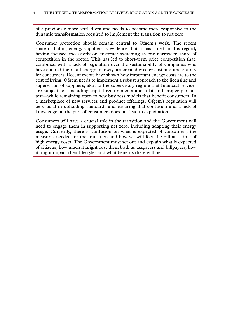of a previously more settled era and needs to become more responsive to the dynamic transformation required to implement the transition to net zero.

Consumer protection should remain central to Ofgem's work. The recent spate of failing energy suppliers is evidence that it has failed in this regard, having focused excessively on customer switching as one narrow measure of competition in the sector. This has led to short-term price competition that, combined with a lack of regulation over the sustainability of companies who have entered the retail energy market, has created greater cost and uncertainty for consumers. Recent events have shown how important energy costs are to the cost of living. Ofgem needs to implement a robust approach to the licensing and supervision of suppliers, akin to the supervisory regime that financial services are subject to—including capital requirements and a fit and proper persons test—while remaining open to new business models that benefit consumers. In a marketplace of new services and product offerings, Ofgem's regulation will be crucial in upholding standards and ensuring that confusion and a lack of knowledge on the part of consumers does not lead to exploitation.

Consumers will have a crucial role in the transition and the Government will need to engage them in supporting net zero, including adapting their energy usage. Currently, there is confusion on what is expected of consumers, the measures needed for the transition and how we will foot the bill at a time of high energy costs. The Government must set out and explain what is expected of citizens, how much it might cost them both as taxpayers and billpayers, how it might impact their lifestyles and what benefits there will be.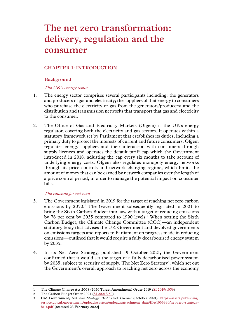# <span id="page-6-0"></span>**The net zero transformation: delivery, regulation and the consumer**

# **Chapter 1: INTRODUCTION**

#### **Background**

#### *The UK's energy sector*

- 1. The energy sector comprises several participants including: the generators and producers of gas and electricity; the suppliers of that energy to consumers who purchase the electricity or gas from the generators/producers; and the distribution and transmission networks that transport that gas and electricity to the consumer.
- 2. The Office of Gas and Electricity Markets (Ofgem) is the UK's energy regulator, covering both the electricity and gas sectors. It operates within a statutory framework set by Parliament that establishes its duties, including a primary duty to protect the interests of current and future consumers. Ofgem regulates energy suppliers and their interaction with consumers through supply licences and operates the default tariff cap which the Government introduced in 2018, adjusting the cap every six months to take account of underlying energy costs. Ofgem also regulates monopoly energy networks through its price controls and network charging regime, which limits the amount of money that can be earned by network companies over the length of a price control period, in order to manage the potential impact on consumer bills.

#### *The timeline for net zero*

- 3. The Government legislated in 2019 for the target of reaching net zero carbon emissions by 2050.<sup>1</sup> The Government subsequently legislated in 2021 to bring the Sixth Carbon Budget into law, with a target of reducing emissions by 78 per cent by 2035 compared to 1990 levels.<sup>2</sup> When setting the Sixth Carbon Budget, the Climate Change Committee (CCC)—an independent statutory body that advises the UK Government and devolved governments on emissions targets and reports to Parliament on progress made in reducing emissions—outlined that it would require a fully decarbonised energy system by 2035.
- 4. In its Net Zero Strategy, published 19 October 2021, the Government confirmed that it would set the target of a fully decarbonised power system by 2035, subject to security of supply. The Net Zero Strategy<sup>3</sup>, which set out the Government's overall approach to reaching net zero across the economy

<sup>1</sup> The Climate Change Act 2008 (2050 Target Amendment) Order 2019 [\(SI 2019/1056](https://www.legislation.gov.uk/uksi/2019/1056/contents/made))

<sup>2</sup> The Carbon Budget Order 2021 [\(SI 2021/750\)](https://www.legislation.gov.uk/uksi/2021/750/made)

<sup>3</sup> HM Government, *Net Zero Strategy: Build Back Greener* (October 2021): [https://assets.publishing.](https://assets.publishing.service.gov.uk/government/uploads/system/uploads/attachment_data/file/1033990/net-zero-strategy-beis.pdf) [service.gov.uk/government/uploads/system/uploads/attachment\\_data/file/1033990/net-zero-strategy](https://assets.publishing.service.gov.uk/government/uploads/system/uploads/attachment_data/file/1033990/net-zero-strategy-beis.pdf)[beis.pdf](https://assets.publishing.service.gov.uk/government/uploads/system/uploads/attachment_data/file/1033990/net-zero-strategy-beis.pdf) [accessed 23 February 2022]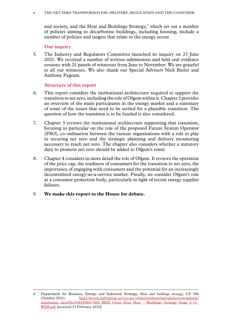<span id="page-7-0"></span>and society, and the Heat and Buildings Strategy,<sup>4</sup> which set out a number of policies aiming to decarbonise buildings, including housing, include a number of policies and targets that relate to the energy sector.

#### **Our inquiry**

5. The Industry and Regulators Committee launched its inquiry on 23 June 2021. We received a number of written submissions and held oral evidence sessions with 21 panels of witnesses from June to November. We are grateful to all our witnesses. We also thank our Special Advisers Nick Butler and Anthony Pygram.

#### **Structure of this report**

- 6. This report considers the institutional architecture required to support the transition to net zero, including the role of Ofgem within it. Chapter 2 provides an overview of the main participants in the energy market and a summary of some of the issues that need to be settled for a plausible transition. The question of how the transition is to be funded is also considered.
- 7. Chapter 3 reviews the institutional architecture supporting that transition, focusing in particular on the role of the proposed Future System Operator (FSO), co-ordination between the various organisations with a role to play in securing net zero and the strategic planning and delivery monitoring necessary to reach net zero. The chapter also considers whether a statutory duty to promote net zero should be added to Ofgem's remit.
- 8. Chapter 4 considers in more detail the role of Ofgem. It reviews the operation of the price cap, the readiness of consumers for the transition to net zero, the importance of engaging with consumers and the potential for an increasingly decentralised energy-as-a-service market. Finally, we consider Ofgem's role as a consumer protection body, particularly in light of recent energy supplier failures.
- 9. **We make this report to the House for debate.**

<sup>4</sup> Department for Business, Energy and Industrial Strategy, *Heat and buildings strategy,* CP 388 (October 2021): [https://assets.publishing.service.gov.uk/government/uploads/system/uploads/](https://assets.publishing.service.gov.uk/government/uploads/system/uploads/attachment_data/file/1044598/6.7408_BEIS_Clean_Heat_Heat___Buildings_Strategy_Stage_2_v5_WEB.pdf) [attachment\\_data/file/1044598/6.7408\\_BEIS\\_Clean\\_Heat\\_Heat\\_\\_\\_Buildings\\_Strategy\\_Stage\\_2\\_v5\\_](https://assets.publishing.service.gov.uk/government/uploads/system/uploads/attachment_data/file/1044598/6.7408_BEIS_Clean_Heat_Heat___Buildings_Strategy_Stage_2_v5_WEB.pdf) [WEB.pdf](https://assets.publishing.service.gov.uk/government/uploads/system/uploads/attachment_data/file/1044598/6.7408_BEIS_Clean_Heat_Heat___Buildings_Strategy_Stage_2_v5_WEB.pdf) [accessed 23 February 2022]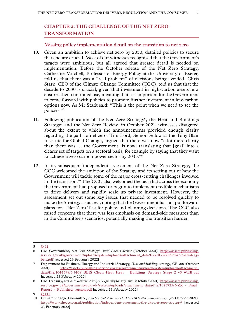# <span id="page-8-0"></span>**Chapter 2: THE CHALLENGE OF THE NET ZERO TRANSFORMATION**

#### **Missing policy implementation detail on the transition to net zero**

- 10. Given an ambition to achieve net zero by 2050, detailed policies to secure that end are crucial. Most of our witnesses recognised that the Government's targets were ambitious, but all agreed that greater detail is needed on implementation. Before the October release of the Net Zero Strategy, Catherine Mitchell, Professor of Energy Policy at the University of Exeter, told us that there was a "real problem" of decisions being avoided. Chris Stark, CEO of the Climate Change Committee (CCC), told us that that the decade to 2030 is crucial, given that investment in high-carbon assets now ensures their continued use, meaning that it is important for the Government to come forward with policies to promote further investment in low-carbon options now. As Mr Stark said: "This is the point when we need to see the policies."5
- 11. Following publication of the Net Zero Strategy<sup>6</sup>, the Heat and Buildings Strategy<sup>7</sup> and the Net Zero Review<sup>8</sup> in October 2021, witnesses disagreed about the extent to which the announcements provided enough clarity regarding the path to net zero. Tim Lord, Senior Fellow at the Tony Blair Institute for Global Change, argued that there was now "a lot more clarity than there was … the Government [is now] translating that [goal] into a clearer set of targets on a sectoral basis, for example by saying that they want to achieve a zero carbon power sector by 2035."9
- 12. In its subsequent independent assessment of the Net Zero Strategy, the CCC welcomed the ambition of the Strategy and its setting out of how the Government will tackle some of the major cross-cutting challenges involved in the transition.10 The CCC also welcomed the fact that across the economy the Government had proposed or begun to implement credible mechanisms to drive delivery and rapidly scale up private investment. However, the assessment set out some key issues that needed to be resolved quickly to make the Strategy a success, noting that the Government has not put forward plans for a Net Zero Test for policy and planning decisions. The CCC also raised concerns that there was less emphasis on demand-side measures than in the Committee's scenarios, potentially making the transition harder.

<sup>5</sup> Q [61](https://committees.parliament.uk/oralevidence/2671/html/)

<sup>6</sup> HM Government, *Net Zero Strategy: Build Back Greener* (October 2021): [https://assets.publishing.](https://assets.publishing.service.gov.uk/government/uploads/system/uploads/attachment_data/file/1033990/net-zero-strategy-beis.pdf) [service.gov.uk/government/uploads/system/uploads/attachment\\_data/file/1033990/net-zero-strategy](https://assets.publishing.service.gov.uk/government/uploads/system/uploads/attachment_data/file/1033990/net-zero-strategy-beis.pdf)[beis.pdf](https://assets.publishing.service.gov.uk/government/uploads/system/uploads/attachment_data/file/1033990/net-zero-strategy-beis.pdf) [accessed 23 February 2022]

<sup>7</sup> Department for Business, Energy and Industrial Strategy, *Heat and buildings strategy,* CP 388 (October 2021): [https://assets.publishing.service.gov.uk/government/uploads/system/uploads/attachment\\_](https://assets.publishing.service.gov.uk/government/uploads/system/uploads/attachment_data/file/1044598/6.7408_BEIS_Clean_Heat_Heat___Buildings_Strategy_Stage_2_v5_WEB.pdf) [data/file/1044598/6.7408\\_BEIS\\_Clean\\_Heat\\_Heat\\_\\_\\_Buildings\\_Strategy\\_Stage\\_2\\_v5\\_WEB.pdf](https://assets.publishing.service.gov.uk/government/uploads/system/uploads/attachment_data/file/1044598/6.7408_BEIS_Clean_Heat_Heat___Buildings_Strategy_Stage_2_v5_WEB.pdf) [accessed 23 February 2022]

<sup>8</sup> HM Treasury, *Net Zero Review: Analysis exploring the key issues* (October 2021): [https://assets.publishing.](https://assets.publishing.service.gov.uk/government/uploads/system/uploads/attachment_data/file/1026725/NZR_-_Final_Report_-_Published_version.pdf) service.gov.uk/government/uploads/system/uploads/attachment\_data/file/1026725/NZR -\_Final\_ Report - Published version.pdf [accessed 23 February 2022]

<sup>9</sup> Q [141](https://committees.parliament.uk/oralevidence/2988/html/)

<sup>10</sup> Climate Change Committee, *Independent Assessment: The UK's Net Zero Strategy* (26 October 2021): <https://www.theccc.org.uk/publication/independent-assessment-the-uks-net-zero-strategy/> [accessed 23 February 2022]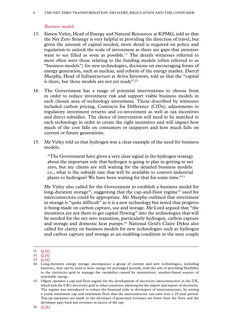#### <span id="page-9-0"></span>8 The net zero transformation: delivery, regulation and the consumer

#### *Business models*

- 13. Simon Virley, Head of Energy and Natural Resources at KPMG, told us that the Net Zero Strategy is very helpful in providing the direction of travel, but given the amount of capital needed, more detail is required on policy and regulation to unlock the scale of investment as there are gaps that investors want to see filled as soon as possible.<sup>11</sup> The details witnesses referred to most often were those relating to the funding models (often referred to as "business models") for new technologies, decisions on encouraging forms of energy generation, such as nuclear, and reform of the energy market. Darryl Murphy, Head of Infrastructure at Aviva Investors, told us that the "capital is there, but those models are not yet ready".12
- 14. The Government has a range of potential interventions to choose from in order to reduce investment risk and support viable business models in each chosen area of technology investment. Those described by witnesses included carbon pricing, Contracts for Difference (CfDs), adjustments to regulatory investment returns and co-investment as well as tax incentives and direct subsidies. The choice of intervention will need to be matched to each technology in order to create the right incentives and will impact how much of the cost falls on consumers or taxpayers and how much falls on current or future generations.
- 15. Mr Virley told us that hydrogen was a clear example of the need for business models:

"The Government have given a very clear signal in the hydrogen strategy about the important role that hydrogen is going to play in getting to net zero, but my clients are still waiting for the detailed business models: i.e., what is the subsidy rate that will be available to convert industrial plants to hydrogen? We have been waiting for that for some time."13

Mr Virley also called for the Government to establish a business model for long-duration storage<sup>14</sup>, suggesting that the cap-and-floor regime<sup>15</sup> used for interconnectors could be appropriate. Mr Murphy outlined that investment in storage is "quite difficult" as it is a new technology but noted that progress is being made on carbon capture, use and storage. Mr Lord argued that "the incentives are not there to get capital flowing" into the technologies that will be needed for the net zero transition, particularly hydrogen, carbon capture and storage and domestic heat pumps.16 National Grid's Claire Dykta also called for clarity on business models for new technologies such as hydrogen and carbon capture and storage as an enabling condition in the next couple

<sup>11</sup> O [167](https://committees.parliament.uk/oralevidence/3044/html/)

<sup>12</sup> **Q** [167](https://committees.parliament.uk/oralevidence/3044/html/)

<sup>13</sup> Q [167](https://committees.parliament.uk/oralevidence/3044/html/)

<sup>14</sup> Long-duration energy storage encompasses a group of current and new technologies, including batteries, that can be used to store energy for prolonged periods, with the aim of providing flexibility to the electricity grid to manage the variability caused by intermittent, weather-based sources of renewable energy.

<sup>15</sup> Ofgem operates a cap and floor regime for the development of electricity interconnectors in the UK, which link the UK's electricity grid to other countries, allowing for the import and export of electricity. The regime was introduced to reduce the financial risks to developers of interconnectors, by setting a yearly maximum cap and minimum floor that the interconnector can earn over a 25-year period. Top-up payments are made to the developer if generated revenues are lower than the floor and the developer pays back any revenues in excess of the cap.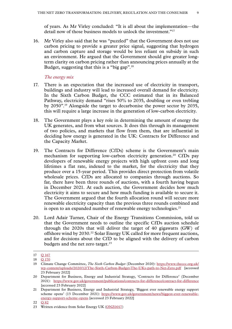<span id="page-10-0"></span>of years. As Mr Virley concluded: "It is all about the implementation—the detail now of those business models to unlock the investment."<sup>17</sup>

16. Mr Virley also said that he was "puzzled" that the Government does not use carbon pricing to provide a greater price signal, suggesting that hydrogen and carbon capture and storage would be less reliant on subsidy in such an environment. He argued that the Government should give greater longterm clarity on carbon pricing rather than announcing prices annually at the Budget, suggesting that this is a "big gap".18

#### *The energy mix*

- 17. There is an expectation that the increased use of electricity in transport, buildings and industry will lead to increased overall demand for electricity. In the Sixth Carbon Budget, the CCC estimated that in its Balanced Pathway, electricity demand "rises 50% to 2035, doubling or even trebling by 2050".19 Alongside the target to decarbonise the power sector by 2035, this will require a large increase in the generation of low-carbon electricity.
- 18. The Government plays a key role in determining the amount of energy the UK generates, and from what sources. It does this through its management of two policies, and markets that flow from them, that are influential in deciding how energy is generated in the UK: Contracts for Difference and the Capacity Market.
- 19. The Contracts for Difference (CfDs) scheme is the Government's main mechanism for supporting low-carbon electricity generation.<sup>20</sup> CfDs pay developers of renewable energy projects with high upfront costs and long lifetimes a flat rate, indexed to the market, for the electricity that they produce over a 15-year period. This provides direct protection from volatile wholesale prices. CfDs are allocated to companies through auctions. So far, there have been three rounds of auctions, with a fourth having begun in December 2021. At each auction, the Government decides how much electricity it aims to secure and how much funding is available to secure it. The Government argued that the fourth allocation round will secure more renewable electricity capacity than the previous three rounds combined and is open to an expanded number of renewable energy technologies.<sup>21</sup>
- 20. Lord Adair Turner, Chair of the Energy Transitions Commission, told us that the Government needs to outline the specific CfDs auction schedule through the 2020s that will deliver the target of 40 gigawatts (GW) of offshore wind by 2030.<sup>22</sup> Solar Energy UK called for more frequent auctions, and for decisions about the CfD to be aligned with the delivery of carbon budgets and the net zero target. $^{23}$

<sup>17</sup> **Q** [167](https://committees.parliament.uk/oralevidence/3044/html/)

<sup>18</sup> **Q** [170](https://committees.parliament.uk/oralevidence/3044/html/)

<sup>19</sup> Climate Change Committee, *The Sixth Carbon Budget* (December 2020): [https://www.theccc.org.uk/](https://www.theccc.org.uk/wp-content/uploads/2020/12/The-Sixth-Carbon-Budget-The-UKs-path-to-Net-Zero.pdf) [wp-content/uploads/2020/12/The-Sixth-Carbon-Budget-The-UKs-path-to-Net-Zero.pdf](https://www.theccc.org.uk/wp-content/uploads/2020/12/The-Sixth-Carbon-Budget-The-UKs-path-to-Net-Zero.pdf) [accessed 23 February 2022]

<sup>20</sup> Department for Business, Energy and Industrial Strategy, 'Contracts for Difference' (December 2021): <https://www.gov.uk/government/publications/contracts-for-difference/contract-for-difference> [accessed 23 February 2022]

<sup>21</sup> Department for Business, Energy and Industrial Strategy, 'Biggest ever renewable energy support scheme opens' (13 December 2021): [https://www.gov.uk/government/news/biggest-ever-renewable](https://www.gov.uk/government/news/biggest-ever-renewable-energy-support-scheme-opens)[energy-support-scheme-opens](https://www.gov.uk/government/news/biggest-ever-renewable-energy-support-scheme-opens) [accessed 23 February 2022]

<sup>22</sup> Q [82](https://committees.parliament.uk/oralevidence/2755/html/)

<sup>23</sup> Written evidence from Solar Energy UK [\(ONZ0017](https://committees.parliament.uk/writtenevidence/38192/html/))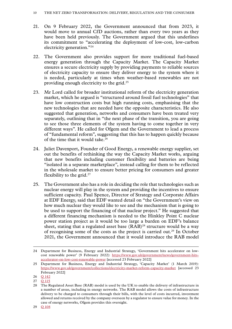- 21. On 9 February 2022, the Government announced that from 2023, it would move to annual CfD auctions, rather than every two years as they have been held previously. The Government argued that this underlines its commitment to "accelerating the deployment of low-cost, low-carbon electricity generation."24
- 22. The Government also provides support for more traditional fuel-based energy generation through the Capacity Market. The Capacity Market ensures a secure electricity supply by providing payments to reliable sources of electricity capacity to ensure they deliver energy to the system where it is needed, particularly at times when weather-based renewables are not providing enough electricity to the grid.25
- 23. Mr Lord called for broader institutional reform of the electricity generation market, which he argued is "structured around fossil fuel technologies" that have low construction costs but high running costs, emphasising that the new technologies that are needed have the opposite characteristics. He also suggested that generation, networks and consumers have been treated very separately, outlining that in "the next phase of the transition, you are going to see those three elements of the system having to come together in very different ways". He called for Ofgem and the Government to lead a process of "fundamental reform", suggesting that this has to happen quickly because of the time that it would take.<sup>26</sup>
- 24. Juliet Davenport, Founder of Good Energy, a renewable energy supplier, set out the benefits of rethinking the way the Capacity Market works, arguing that new benefits including customer flexibility and batteries are being "isolated in a separate marketplace", instead calling for them to be reflected in the wholesale market to ensure better pricing for consumers and greater flexibility to the grid.<sup>27</sup>
- 25. The Government also has a role in deciding the role that technologies such as nuclear energy will play in the system and providing the incentives to ensure sufficient capacity. Paul Spence, Director of Strategy and Corporate Affairs at EDF Energy, said that EDF wanted detail on "the Government's view on how much nuclear they would like to see and the mechanism that is going to be used to support the financing of that nuclear project." He suggested that a different financing mechanism is needed to the Hinkley Point C nuclear power station project as it would be too large a burden on EDF's balance sheet, stating that a regulated asset base  $(RAB)^{28}$  structure would be a way of recognising some of the costs as the project is carried out.29 In October 2021, the Government announced that it would introduce the RAB model

<sup>24</sup> Department for Business, Energy and Industrial Strategy, 'Government hits accelerator on lowcost renewable power' (9 February 2022): [https://www.gov.uk/government/news/government-hits](https://www.gov.uk/government/news/government-hits-accelerator-on-low-cost-renewable-power)[accelerator-on-low-cost-renewable-power](https://www.gov.uk/government/news/government-hits-accelerator-on-low-cost-renewable-power) [accessed 23 February 2022]

<sup>25</sup> Department for Business, Energy and Industrial Strategy, 'Capacity Market' (1 March 2019): <https://www.gov.uk/government/collections/electricity-market-reform-capacity-market> [accessed 23 February 2022]

<sup>26</sup> Q [142](https://committees.parliament.uk/oralevidence/2988/html/)

<sup>27</sup> Q [115](https://committees.parliament.uk/oralevidence/2909/html/)

<sup>28</sup> The Regulated Asset Base (RAB) model is used by the UK to enable the delivery of infrastructure in a number of areas, including in energy networks. The RAB model allows the costs of infrastructure delivery to be charged to consumers through their bills, with the level of costs incurred, investment allowed and returns received by the company overseen by a regulator to ensure value for money. In the case of energy networks, Ofgem provides this oversight.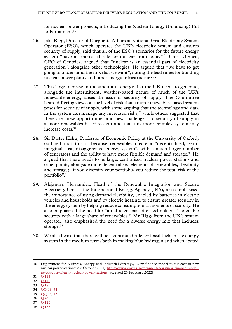for nuclear power projects, introducing the Nuclear Energy (Financing) Bill to Parliament.<sup>30</sup>

- 26. Jake Rigg, Director of Corporate Affairs at National Grid Electricity System Operator (ESO), which operates the UK's electricity system and ensures security of supply, said that all of the ESO's scenarios for the future energy system "have an increased role for nuclear from today".<sup>31</sup> Chris O'Shea, CEO of Centrica, argued that "nuclear is an essential part of electricity generation", alongside other technologies. He argued that "we have to get going to understand the mix that we want", noting the lead times for building nuclear power plants and other energy infrastructure.<sup>32</sup>
- 27. This large increase in the amount of energy that the UK needs to generate, alongside the intermittent, weather-based nature of much of the UK's renewable energy, raises the issue of security of supply. The Committee heard differing views on the level of risk that a more renewables-based system poses for security of supply, with some arguing that the technology and data in the system can manage any increased risks,<sup>33</sup> while others suggested that there are "new opportunities and new challenges" to security of supply in a more renewables-based system and that this more complex system may increase costs.34
- 28. Sir Dieter Helm, Professor of Economic Policy at the University of Oxford, outlined that this is because renewables create a "decentralised, zeromarginal-cost, disaggregated energy system", with a much larger number of generators and the ability to have more flexible demand and storage.<sup>35</sup> He argued that there needs to be large, centralised nuclear power stations and other plants, alongside more decentralised elements of renewables, flexibility and storage; "if you diversify your portfolio, you reduce the total risk of the portfolio".36
- 29. Alejandro Hernández, Head of the Renewable Integration and Secure Electricity Unit at the International Energy Agency (IEA), also emphasised the importance of using demand flexibility, enabled by batteries in electric vehicles and households and by electric heating, to ensure greater security in the energy system by helping reduce consumption at moments of scarcity. He also emphasised the need for "an efficient basket of technologies" to enable security with a large share of renewables.<sup>37</sup> Mr Rigg, from the UK's system operator, also emphasised the need for a diverse energy mix that includes storage.<sup>38</sup>
- 30. We also heard that there will be a continued role for fossil fuels in the energy system in the medium term, both in making blue hydrogen and when abated

- 33 Q [18](https://committees.parliament.uk/oralevidence/2493/html/)
- 34 [QQ](https://committees.parliament.uk/oralevidence/2601/html/) 43, [74](https://committees.parliament.uk/oralevidence/2754/html/)
- 35 QQ [43, 45](https://committees.parliament.uk/oralevidence/2601/html/) 36 Q [45](https://committees.parliament.uk/oralevidence/2601/html/)
- 37 Q [123](https://committees.parliament.uk/oralevidence/2972/html/)
- 38 Q [133](https://committees.parliament.uk/oralevidence/2973/html/)

<sup>30</sup> Department for Business, Energy and Industrial Strategy, 'New finance model to cut cost of new nuclear power stations' (26 October 2021): [https://www.gov.uk/government/news/new-finance-model](https://www.gov.uk/government/news/new-finance-model-to-cut-cost-of-new-nuclear-power-stations?utm_medium=email&utm_campaign=govuk-notifications&utm_source=62f1c253-a358-43df-b104-bc21b021f986&utm_content=daily)[to-cut-cost-of-new-nuclear-power-stations](https://www.gov.uk/government/news/new-finance-model-to-cut-cost-of-new-nuclear-power-stations?utm_medium=email&utm_campaign=govuk-notifications&utm_source=62f1c253-a358-43df-b104-bc21b021f986&utm_content=daily) [accessed 23 February 2022]

<sup>31</sup> Q [133](https://committees.parliament.uk/oralevidence/2973/html/)

<sup>32</sup> Q [111](https://committees.parliament.uk/oralevidence/2908/html/)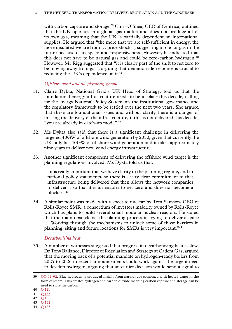<span id="page-13-0"></span>with carbon capture and storage.<sup>39</sup> Chris O'Shea, CEO of Centrica, outlined that the UK operates in a global gas market and does not produce all of its own gas, meaning that the UK is partially dependent on international supplies. He argued that "the more that we are self-sufficient in energy, the more insulated we are from … price shocks", suggesting a role for gas in the future because of its speed and responsiveness. However, he indicated that this does not have to be natural gas and could be zero-carbon hydrogen. $40$ However, Mr Rigg suggested that "it is clearly part of the shift to net zero to be moving away from gas", arguing that demand-side response is crucial to reducing the UK's dependence on it.<sup>41</sup>

#### *Offshore wind and the planning system*

- 31. Claire Dykta, National Grid's UK Head of Strategy, told us that the foundational energy infrastructure needs to be in place this decade, calling for the energy National Policy Statement, the institutional governance and the regulatory framework to be settled over the next two years. She argued that these are foundational issues and without clarity there is a danger of missing the delivery of the infrastructure; if this is not delivered this decade, "you are already in catch-up mode".<sup>42</sup>
- 32. Ms Dykta also said that there is a significant challenge in delivering the targeted 40GW of offshore wind generation by 2030, given that currently the UK only has 10GW of offshore wind generation and it takes approximately nine years to deliver new wind energy infrastructure.
- 33. Another significant component of delivering the offshore wind target is the planning regulations involved. Ms Dykta told us that:

"it is really important that we have clarity in the planning regime, and in national policy statements, so there is a very clear commitment to that infrastructure being delivered that then allows the network companies to deliver it so that it is an enabler to net zero and does not become a blocker."43

34. A similar point was made with respect to nuclear by Tom Samson, CEO of Rolls-Royce SMR, a consortium of investors majority owned by Rolls-Royce which has plans to build several small modular nuclear reactors. He stated that the main obstacle is "the planning process in trying to deliver at pace … Working through the mechanisms to unlock some of those barriers in planning, siting and future locations for SMRs is very important."44

#### *Decarbonising heat*

35. A number of witnesses suggested that progress in decarbonising heat is slow. Dr Tony Ballance, Director of Regulation and Strategy at Cadent Gas, argued that the moving back of a potential mandate on hydrogen-ready boilers from 2025 to 2026 in recent announcements could work against the urgent need to develop hydrogen, arguing that an earlier decision would send a signal to

44 Q [183](https://committees.parliament.uk/oralevidence/3045/html/)

<sup>39</sup> QQ [91–92.](https://committees.parliament.uk/oralevidence/2809/html/) Blue hydrogen is produced mainly from natural gas combined with heated water in the form of steam. This creates hydrogen and carbon dioxide meaning carbon capture and storage can be used to store the carbon.

<sup>40</sup> Q [111](https://committees.parliament.uk/oralevidence/2908/html/)

<sup>41</sup> Q [133](https://committees.parliament.uk/oralevidence/2973/html/)

<sup>42</sup> Q [136](https://committees.parliament.uk/oralevidence/2973/html/)

<sup>43</sup> Q [132](https://committees.parliament.uk/oralevidence/2973/html/)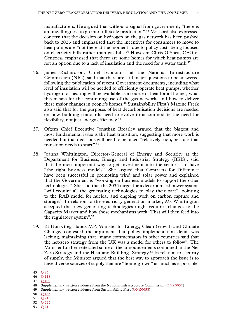manufacturers. He argued that without a signal from government, "there is an unwillingness to go into full-scale production".45 Mr Lord also expressed concern that the decision on hydrogen on the gas network has been pushed back to 2026 and emphasised that the incentives for consumers to move to heat pumps are "not there at the moment" due to policy costs being focused on electricity bills rather than gas bills.46 However, Chris O'Shea, CEO of Centrica, emphasised that there are some homes for which heat pumps are not an option due to a lack of insulation and the need for a water tank. $47$ 

- 36. James Richardson, Chief Economist at the National Infrastructure Commission (NIC), said that there are still major questions to be answered following the publication of recent Government documents, including what level of insulation will be needed to efficiently operate heat pumps, whether hydrogen for heating will be available as a source of heat for all homes, what this means for the continuing use of the gas network, and how to deliver these major changes in people's homes.<sup>48</sup> Sustainability First's Maxine Frerk also said that for the purposes of heat decarbonisation decisions are needed on how building standards need to evolve to accommodate the need for flexibility, not just energy efficiency.<sup>49</sup>
- 37. Ofgem Chief Executive Jonathan Brearley argued that the biggest and most fundamental issue is the heat transition, suggesting that more work is needed but that decisions will need to be taken "relatively soon, because that transition needs to start".50
- 38. Joanna Whittington, Director-General of Energy and Security at the Department for Business, Energy and Industrial Strategy (BEIS), said that the most important way to get investment into the sector is to have "the right business models". She argued that Contracts for Difference have been successful in promoting wind and solar power and explained that the Government is "working on business models to support the other technologies". She said that the 2035 target for a decarbonised power system "will require all the generating technologies to play their part", pointing to the RAB model for nuclear and ongoing work on carbon capture and storage.51 In relation to the electricity generation market, Ms Whittington accepted that new generating technologies might require "changes to the Capacity Market and how those mechanisms work. That will then feed into the regulatory system".52
- 39. Rt Hon Greg Hands MP, Minister for Energy, Clean Growth and Climate Change, contested the argument that policy implementation detail was lacking, maintaining that "many commentators in other countries said that the net-zero strategy from the UK was a model for others to follow". The Minister further reiterated some of the announcements contained in the Net Zero Strategy and the Heat and Buildings Strategy.<sup>53</sup> In relation to security of supply, the Minister argued that the best way to approach the issue is to have diverse sources of supply that are "home-grown" as much as is possible.

<sup>45</sup> Q [96](https://committees.parliament.uk/oralevidence/2809/html/)

<sup>46</sup> Q [148](https://committees.parliament.uk/oralevidence/2988/html/)

<sup>47</sup> Q [109](https://committees.parliament.uk/oralevidence/2908/html/)

<sup>48</sup> Supplementary written evidence from the National Infrastructure Commission ([ONZ0057](https://committees.parliament.uk/writtenevidence/106594/html/))

<sup>49</sup> Supplementary written evidence from Sustainability First [\(ONZ0058](https://committees.parliament.uk/writtenevidence/106595/html/))

<sup>50</sup> Q [186](https://committees.parliament.uk/oralevidence/3133/html/)

<sup>51</sup> Q [211](https://committees.parliament.uk/oralevidence/3134/html/)

<sup>52</sup> Q [225](https://committees.parliament.uk/oralevidence/3134/html/)

<sup>53</sup> Q [211](https://committees.parliament.uk/oralevidence/3134/html/)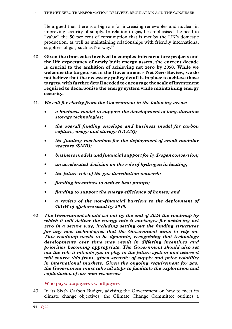<span id="page-15-0"></span>He argued that there is a big role for increasing renewables and nuclear in improving security of supply. In relation to gas, he emphasised the need to "value" the 50 per cent of consumption that is met by the UK's domestic production, as well as maintaining relationships with friendly international suppliers of gas, such as Norway.<sup>54</sup>

- 40. **Given the timescales involved in complex infrastructure projects and the life expectancy of newly built energy assets, the current decade is crucial to the ambition of achieving net zero by 2050. While we welcome the targets set in the Government's Net Zero Review, we do not believe that the necessary policy detail is in place to achieve those targets, with further detail needed to encourage the scale of investment required to decarbonise the energy system while maintaining energy security.**
- 41. *We call for clarity from the Government in the following areas:*
	- *a business model to support the development of long-duration storage technologies;*
	- *the overall funding envelope and business model for carbon capture, usage and storage (CCUS);*
	- *the funding mechanism for the deployment of small modular reactors (SMR);*
	- *business models and financial support for hydrogen conversion;*
	- *an accelerated decision on the role of hydrogen in heating;*
	- *the future role of the gas distribution network;*
	- *funding incentives to deliver heat pumps;*
	- *funding to support the energy efficiency of homes; and*
	- *a review of the non-financial barriers to the deployment of 40GW of offshore wind by 2030.*
- 42. *The Government should set out by the end of 2024 the roadmap by which it will deliver the energy mix it envisages for achieving net zero in a secure way, including setting out the funding structures for any new technologies that the Government aims to rely on. This roadmap needs to be dynamic, recognising that technology developments over time may result in differing incentives and priorities becoming appropriate. The Government should also set out the role it intends gas to play in the future system and where it will source this from, given security of supply and price volatility in international markets. Given the ongoing requirement for gas, the Government must take all steps to facilitate the exploration and exploitation of our own resources.*

**Who pays: taxpayers vs. billpayers**

43. In its Sixth Carbon Budget, advising the Government on how to meet its climate change objectives, the Climate Change Committee outlines a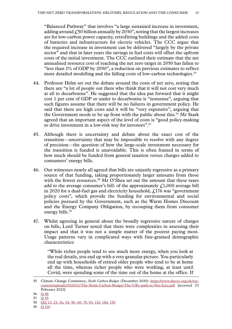"Balanced Pathway" that involves "a large sustained increase in investment, adding around  $\dot{f}$ , 50 billion annually by 2030", noting that the largest increases are for low-carbon power capacity, retrofitting buildings and the added costs of batteries and infrastructure for electric vehicles. The CCC argue that the required increase in investment can be delivered "largely by the private sector" and that in later years the savings in fuel costs will offset the upfront costs of the initial investment. The CCC outlined their estimate that the net annualised resource cost of reaching the net zero target in 2050 has fallen to "less than 1% of GDP by 2050", a reduction on previous estimates to reflect more detailed modelling and the falling costs of low-carbon technologies.<sup>55</sup>

- 44. Professor Helm set out the debate around the costs of net zero, noting that there are "a lot of people out there who think that it will not cost very much at all to decarbonise". He suggested that the idea put forward that it might cost 1 per cent of GDP or under to decarbonise is "nonsense", arguing that such figures assume that there will be no failures in government policy. He said that there are high costs and it will be "very expensive", arguing that the Government needs to be up front with the public about this.<sup>56</sup> Mr Stark agreed that an important aspect of the level of costs is "good policy-making to drive investment in a low-risk way for investors".57
- 45. Although there is uncertainty and debate about the exact cost of the transition—uncertainty that may be impossible to resolve with any degree of precision—the question of how the large-scale investment necessary for the transition is funded is unavoidable. This is often framed in terms of how much should be funded from general taxation versus charges added to consumers' energy bills.
- 46. Our witnesses nearly all agreed that bills are unjustly regressive as a primary source of that funding, taking proportionately larger amounts from those with the fewest resources.<sup>58</sup> Mr O'Shea set out the amount that these taxes add to the average consumer's bill: of the approximately  $f<sub>1</sub>1,000$  average bill in 2020 for a dual-fuel gas and electricity household,  $f<sub>1</sub>176$  was "government policy costs", which provide the funding for environmental and social policies pursued by the Government, such as the Warm Homes Discount and the Energy Company Obligation, by recouping them from consumer energy bills.<sup>59</sup>
- 47. Whilst agreeing in general about the broadly regressive nature of charges on bills, Lord Turner noted that there were complexities in assessing their impact and that it was not a simple matter of the poorest paying most. Usage patterns vary in complicated ways with fine-grained demographic characteristics:

"While richer people tend to use much more energy, when you look at the real details, you end up with a very granular picture. You particularly end up with households of retired older people who tend to be at home all the time, whereas richer people who were working, at least until Covid, were spending some of the time out of the home at the office. If

<sup>55</sup> Climate Change Committee, *Sixth Carbon Budget* (December 2020): [https://www.theccc.org.uk/wp](https://www.theccc.org.uk/wp-content/uploads/2020/12/The-Sixth-Carbon-Budget-The-UKs-path-to-Net-Zero.pdf)[content/uploads/2020/12/The-Sixth-Carbon-Budget-The-UKs-path-to-Net-Zero.pdf](https://www.theccc.org.uk/wp-content/uploads/2020/12/The-Sixth-Carbon-Budget-The-UKs-path-to-Net-Zero.pdf) [accessed 23 February 2022]

<sup>56</sup> Q [48](https://committees.parliament.uk/oralevidence/2601/html/)

<sup>57</sup> Q [55](https://committees.parliament.uk/oralevidence/2671/html/)

<sup>58</sup> [QQ](https://committees.parliament.uk/oralevidence/2493/html/) 13, [23, 26](https://committees.parliament.uk/oralevidence/2562/html/), [34](https://committees.parliament.uk/oralevidence/2562/html/), [58–60](https://committees.parliament.uk/oralevidence/2671/html/), [79,](https://committees.parliament.uk/oralevidence/2754/html/) [83,](https://committees.parliament.uk/oralevidence/2755/html/) [110,](https://committees.parliament.uk/oralevidence/2908/html/) [148,](https://committees.parliament.uk/oralevidence/2988/html/) [150](https://committees.parliament.uk/oralevidence/2988/html/)

<sup>59</sup> Q [110](https://committees.parliament.uk/oralevidence/2908/html/)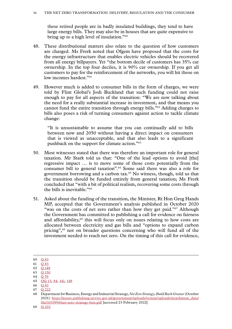these retired people are in badly insulated buildings, they tend to have large energy bills. They may also be in houses that are quite expensive to bring up to a high level of insulation."60

- 48. These distributional matters also relate to the question of how customers are charged. Ms Frerk noted that Ofgem have proposed that the costs for the energy infrastructure that enables electric vehicles should be recovered from all energy billpayers. Yet "the bottom decile of customers has 35% car ownership. In the top four deciles, it is 90% car ownership. If you get all customers to pay for the reinforcement of the networks, you will hit those on low incomes hardest."<sup>61</sup>
- 49. However much is added to consumer bills in the form of charges, we were told by Flint Global's Josh Buckland that such funding could not raise enough to pay for all aspects of the transition: "We are now talking about the need for a really substantial increase in investment, and that means you cannot fund the entire transition through energy bills."62 Adding charges to bills also poses a risk of turning consumers against action to tackle climate change:

"It is unsustainable to assume that you can continually add to bills between now and 2050 without having a direct impact on consumers that is viewed as unacceptable, and that also leads to a significant pushback on the support for climate action."63

- 50. Most witnesses stated that there was therefore an important role for general taxation. Mr Stark told us that: "One of the lead options to avoid [the] regressive impact … is to move some of those costs potentially from the consumer bill to general taxation".64 Some said there was also a role for government borrowing and a carbon tax.65 No witness, though, told us that the transition should be funded entirely from general taxation; Ms Frerk concluded that "with a bit of political realism, recovering some costs through the bills is inevitable."66
- 51. Asked about the funding of the transition, the Minister, Rt Hon Greg Hands MP, accepted that the Government's analysis published in October 2020 "was on the costs of net zero rather than how they get paid."<sup>67</sup> Although the Government has committed to publishing a call for evidence on fairness and affordability,<sup>68</sup> this will focus only on issues relating to how costs are allocated between electricity and gas bills and "options to expand carbon pricing",<sup>69</sup> not on broader questions concerning who will fund all of the investment needed to reach net zero. On the timing of this call for evidence,

<sup>60</sup> Q [83](https://committees.parliament.uk/oralevidence/2755/html/)

<sup>61</sup> Q [83](https://committees.parliament.uk/oralevidence/2755/html/)

<sup>62</sup> Q [148](https://committees.parliament.uk/oralevidence/2988/html/)

<sup>63</sup> Q [150](https://committees.parliament.uk/oralevidence/2988/html/)

<sup>64</sup> Q [59](https://committees.parliament.uk/oralevidence/2671/html/)

<sup>65</sup> [QQ](https://committees.parliament.uk/oralevidence/2493/html/) 13, [84](https://committees.parliament.uk/oralevidence/2755/html/), [141](https://committees.parliament.uk/oralevidence/2988/html/), [148](https://committees.parliament.uk/oralevidence/2988/html/)

<sup>66</sup> Q [83](https://committees.parliament.uk/oralevidence/2755/html/)

<sup>67</sup> Q [222](https://committees.parliament.uk/oralevidence/3134/html/)

<sup>68</sup> Department for Business, Energy and Industrial Strategy, *Net Zero Strategy, Build Back Greener* (October 2021): [https://assets.publishing.service.gov.uk/government/uploads/system/uploads/attachment\\_data/](https://assets.publishing.service.gov.uk/government/uploads/system/uploads/attachment_data/file/1033990/net-zero-strategy-beis.pdf) [file/1033990/net-zero-strategy-beis.pdf](https://assets.publishing.service.gov.uk/government/uploads/system/uploads/attachment_data/file/1033990/net-zero-strategy-beis.pdf) [accessed 23 February 2022]

<sup>69</sup> Q [222](https://committees.parliament.uk/oralevidence/3134/html/)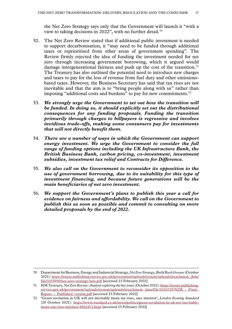the Net Zero Strategy says only that the Government will launch it "with a view to taking decisions in 2022", with no further detail.<sup>70</sup>

- 52. The Net Zero Review stated that if additional public investment is needed to support decarbonisation, it "may need to be funded through additional taxes or reprioritised from other areas of government spending". The Review firmly rejected the idea of funding the investment needed for net zero through increasing government borrowing, which it argued would damage intergenerational fairness and push up the cost of the transition.<sup>71</sup> The Treasury has also outlined the potential need to introduce new charges and taxes to pay for the loss of revenue from fuel duty and other emissionsbased taxes. However, the Business Secretary has said that tax rises are not inevitable and that the aim is to "bring people along with us" rather than imposing "additional costs and burdens" to pay for new commitments.<sup>72</sup>
- 53. *We strongly urge the Government to set out how the transition will be funded. In doing so, it should explicitly set out the distributional consequences for any funding proposals. Funding the transition primarily through charges to billpayers is regressive and involves invidious trade-offs, making some consumers pay for investments that will not directly benefit them.*
- 54. *There are a number of ways in which the Government can support energy investment. We urge the Government to consider the full range of funding options including the UK Infrastructure Bank, the British Business Bank, carbon pricing, co-investment, investment subsidies, investment tax relief and Contracts for Difference.*
- 55. *We also call on the Government to reconsider its opposition to the use of government borrowing, due to its suitability for this type of investment financing, and because future generations will be the main beneficiaries of net zero investment.*
- 56. *We support the Government's plans to publish this year a call for evidence on fairness and affordability. We call on the Government to publish this as soon as possible and commit to consulting on more detailed proposals by the end of 2022.*

<sup>70</sup> Department for Business, Energy and Industrial Strategy, *Net Zero Strategy, Build Back Greener* (October 2021): [https://assets.publishing.service.gov.uk/government/uploads/system/uploads/attachment\\_data/](https://assets.publishing.service.gov.uk/government/uploads/system/uploads/attachment_data/file/1033990/net-zero-strategy-beis.pdf) [file/1033990/net-zero-strategy-beis.pdf](https://assets.publishing.service.gov.uk/government/uploads/system/uploads/attachment_data/file/1033990/net-zero-strategy-beis.pdf) [accessed 23 February 2022]

<sup>71</sup> HM Treasury, *Net Zero Review: Analysis exploring the key issues* (October 2021): [https://assets.publishing.](https://assets.publishing.service.gov.uk/government/uploads/system/uploads/attachment_data/file/1026725/NZR_-_Final_Report_-_Published_version.pdf) service.gov.uk/government/uploads/system/uploads/attachment\_data/file/1026725/NZR -\_Final\_ Report - Published version.pdf [accessed 23 February 2022]

<sup>72</sup> 'Green revolution in UK will not inevitably mean tax rises, says minister', *London Evening Standard* (20 October 2021): [https://www.standard.co.uk/news/politics/green-revolution-in-uk-not-inevitably](https://www.standard.co.uk/news/politics/green-revolution-in-uk-not-inevitably-mean-tax-rises-minister-b961473.html)[mean-tax-rises-minister-b961473.html](https://www.standard.co.uk/news/politics/green-revolution-in-uk-not-inevitably-mean-tax-rises-minister-b961473.html) [accessed 23 February 2022]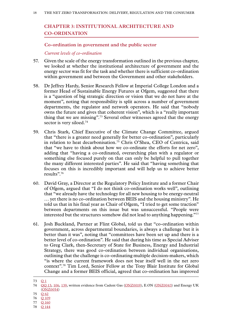# <span id="page-19-0"></span>**Chapter 3: INSTITUTIONAL ARCHITECTURE AND CO-ORDINATION**

#### **Co-ordination in government and the public sector**

#### *Current levels of co-ordination*

- 57. Given the scale of the energy transformation outlined in the previous chapter, we looked at whether the institutional architecture of government and the energy sector was fit for the task and whether there is sufficient co-ordination within government and between the Government and other stakeholders.
- 58. Dr Jeffrey Hardy, Senior Research Fellow at Imperial College London and a former Head of Sustainable Energy Futures at Ofgem, suggested that there is a "question of big strategic direction or vision that we do not have at the moment", noting that responsibility is split across a number of government departments, the regulator and network operators. He said that "nobody owns the future and gives that coherent vision", which is a "really important thing that we are missing".73 Several other witnesses agreed that the energy sector is very siloed.<sup>74</sup>
- 59. Chris Stark, Chief Executive of the Climate Change Committee, argued that "there is a greater need generally for better co-ordination", particularly in relation to heat decarbonisation.<sup>75</sup> Chris O'Shea, CEO of Centrica, said that "we have to think about how we co-ordinate the efforts for net zero", adding that "having a co-ordinated, overarching plan with a regulator or something else focused purely on that can only be helpful to pull together the many different interested parties". He said that "having something that focuses on this is incredibly important and will help us to achieve better results".<sup>76</sup>
- 60. David Gray, a Director at the Regulatory Policy Institute and a former Chair of Ofgem, argued that "I do not think co-ordination works well", outlining that "we already have the technology for all new housing to be energy-neutral … yet there is no co-ordination between BEIS and the housing ministry". He told us that in his final year as Chair of Ofgem, "I tried to get some traction" between departments on this issue but was unsuccessful. "People were interested but the structures somehow did not lead to anything happening."77
- 61. Josh Buckland, Partner at Flint Global, told us that "co-ordination within government, across departmental boundaries, is always a challenge but it is better than it was", noting that "committees have been set up and there is a better level of co-ordination". He said that during his time as Special Adviser to Greg Clark, then-Secretary of State for Business, Energy and Industrial Strategy, there was good co-ordination between individual organisations, outlining that the challenge is co-ordinating multiple decision-makers, which "is where the current framework does not bear itself well in the net zero context".78 Tim Lord, Senior Fellow at the Tony Blair Institute for Global Change and a former BEIS official, agreed that co-ordination has improved

76 Q [109](https://committees.parliament.uk/oralevidence/2908/html/)

<sup>73</sup> [Q](https://committees.parliament.uk/oralevidence/2454/html/) 1

<sup>74</sup> [QQ](https://committees.parliament.uk/oralevidence/2493/html/) 13, [106,](https://committees.parliament.uk/oralevidence/2809/html/) [139](https://committees.parliament.uk/oralevidence/2973/html/), written evidence from Cadent Gas ([ONZ0019\)](https://committees.parliament.uk/writtenevidence/38195/html/), E.ON [\(ONZ0043](https://committees.parliament.uk/writtenevidence/38417/html/)) and Energy UK [\(ONZ0054\)](https://committees.parliament.uk/writtenevidence/38575/html/)

<sup>75</sup> Q [62](https://committees.parliament.uk/oralevidence/2671/html/)

<sup>77</sup> Q [160](https://committees.parliament.uk/oralevidence/2989/html/)

<sup>78</sup> Q [144](https://committees.parliament.uk/oralevidence/2988/html/)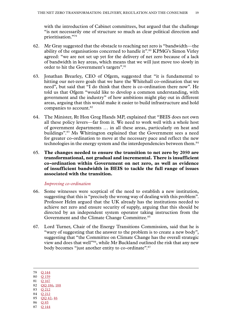<span id="page-20-0"></span>with the introduction of Cabinet committees, but argued that the challenge "is not necessarily one of structure so much as clear political direction and prioritisation."79

- 62. Mr Gray suggested that the obstacle to reaching net zero is "bandwidth—the ability of the organisations concerned to handle it".<sup>80</sup> KPMG's Simon Virley agreed: "we are not set up yet for the delivery of net zero because of a lack of bandwidth in key areas, which means that we will just move too slowly in order to hit the Government's targets".<sup>81</sup>
- 63. Jonathan Brearley, CEO of Ofgem, suggested that "it is fundamental to hitting our net-zero goals that we have the Whitehall co-ordination that we need", but said that "I do think that there is co-ordination there now". He told us that Ofgem "would like to develop a common understanding, with government and the industry" of how ambitions might play out in different areas, arguing that this would make it easier to build infrastructure and hold companies to account.<sup>82</sup>
- 64. The Minister, Rt Hon Greg Hands MP, explained that "BEIS does not own all these policy levers—far from it. We need to work well with a whole host of government departments … in all these areas, particularly on heat and buildings".83 Ms Whittington explained that the Government sees a need for greater co-ordination to move at the necessary pace and reflect the new technologies in the energy system and the interdependencies between them.<sup>84</sup>
- 65. **The changes needed to ensure the transition to net zero by 2050 are transformational, not gradual and incremental. There is insufficient co-ordination within Government on net zero, as well as evidence of insufficient bandwidth in BEIS to tackle the full range of issues associated with the transition.**

#### *Improving co-ordination*

- 66. Some witnesses were sceptical of the need to establish a new institution, suggesting that this is "precisely the wrong way of dealing with this problem". Professor Helm argued that the UK already has the institutions needed to achieve net zero and ensure security of supply, arguing that this should be directed by an independent system operator taking instruction from the Government and the Climate Change Committee.<sup>85</sup>
- 67. Lord Turner, Chair of the Energy Transitions Commission, said that he is "wary of suggesting that the answer to the problem is to create a new body", suggesting that "the Committee on Climate Change has the overall strategic view and does that well"86, while Mr Buckland outlined the risk that any new body becomes "just another entity to co-ordinate".87

- 80 Q [159](https://committees.parliament.uk/oralevidence/2989/html/) 81 Q [167](https://committees.parliament.uk/oralevidence/3044/html/)
- 82 QQ [186, 188](https://committees.parliament.uk/oralevidence/3133/html/)
- 83 Q [212](https://committees.parliament.uk/oralevidence/3134/html/)
- 84 Q [212](https://committees.parliament.uk/oralevidence/3134/html/)
- 85 QQ [42, 46](https://committees.parliament.uk/oralevidence/2601/html/)
- 86 Q [85](https://committees.parliament.uk/oralevidence/2755/html/)
- 87 Q [144](https://committees.parliament.uk/oralevidence/2988/html/)

<sup>79</sup> Q [144](https://committees.parliament.uk/oralevidence/2988/html/)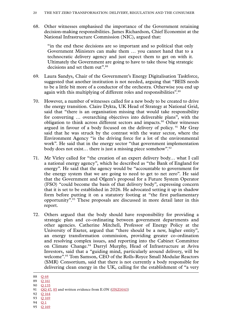68. Other witnesses emphasised the importance of the Government retaining decision-making responsibilities. James Richardson, Chief Economist at the National Infrastructure Commission (NIC), argued that:

"in the end these decisions are so important and so political that only Government Ministers can make them … you cannot hand that to a technocratic delivery agency and just expect them to get on with it. Ultimately the Government are going to have to take those big strategic decisions and set them out".<sup>88</sup>

- 69. Laura Sandys, Chair of the Government's Energy Digitalisation Taskforce, suggested that another institution is not needed, arguing that "BEIS needs to be a little bit more of a conductor of the orchestra. Otherwise you end up again with this multiplying of different roles and responsibilities".<sup>89</sup>
- 70. However, a number of witnesses called for a new body to be created to drive the energy transition. Claire Dykta, UK Head of Strategy at National Grid, said that "there is an organisation missing that would take responsibility for converting … overarching objectives into deliverable plans", with the obligation to think across different sectors and impacts.90 Other witnesses argued in favour of a body focused on the delivery of policy.<sup>91</sup> Mr Gray said that he was struck by the contrast with the water sector, where the Environment Agency "is the driving force for a lot of the environmental work". He said that in the energy sector "that government implementation body does not exist… there is just a missing piece somehow".92
- 71. Mr Virley called for "the creation of an expert delivery body… what I call a national energy agency", which he described as "the Bank of England for energy". He said that the agency would be "accountable to government for the energy system that we are going to need to get to net zero". He said that the Government and Ofgem's proposal for a Future System Operator (FSO) "could become the basis of that delivery body", expressing concern that it is set to be established in 2026. He advocated setting it up in shadow form before putting it on a statutory footing at "the first parliamentary opportunity".93 These proposals are discussed in more detail later in this report.
- 72. Others argued that the body should have responsibility for providing a strategic plan and co-ordinating between government departments and other agencies. Catherine Mitchell, Professor of Energy Policy at the University of Exeter, argued that "there should be a new, higher entity", an energy transformation commission, providing greater co-ordination and resolving complex issues, and reporting into the Cabinet Committee on Climate Change.<sup>94</sup> Darryl Murphy, Head of Infrastructure at Aviva Investors, said that a "guiding mind, particularly around delivery, will be welcome".<sup>95</sup> Tom Samson, CEO of the Rolls-Royce Small Modular Reactors (SMR) Consortium, said that there is not currently a body responsible for delivering clean energy in the UK, calling for the establishment of "a very

- 92 Q [164](https://committees.parliament.uk/oralevidence/2989/html/)
- 93 Q [169](https://committees.parliament.uk/oralevidence/3044/html/)
- 94 [Q](https://committees.parliament.uk/oralevidence/2454/html/) 1
- 95 **Q** [169](https://committees.parliament.uk/oralevidence/3044/html/)

<sup>88</sup> Q [68](https://committees.parliament.uk/oralevidence/2672/html/)

<sup>89</sup> Q [161](https://committees.parliament.uk/oralevidence/2989/html/)

<sup>90</sup> Q [135](https://committees.parliament.uk/oralevidence/2973/html/)

<sup>91</sup> OO 47, [85](https://committees.parliament.uk/oralevidence/2755/html/) and written evidence from E.ON [\(ONZ0043\)](https://committees.parliament.uk/writtenevidence/38417/html/)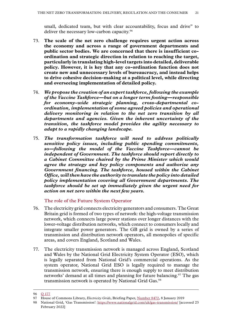<span id="page-22-0"></span>small, dedicated team, but with clear accountability, focus and drive" to deliver the necessary low-carbon capacity.<sup>96</sup>

- 73. **The scale of the net zero challenge requires urgent action across the economy and across a range of government departments and public sector bodies. We are concerned that there is insufficient coordination and strategic direction in relation to reaching the target, particularly in translating high-level targets into detailed, deliverable policy. However, it is key that any co-ordination function does not create new and unnecessary levels of bureaucracy, and instead helps to drive cohesive decision-making at a political level, while directing and overseeing implementation of detailed policy.**
- 74. *We propose the creation of an expert taskforce, following the example of the Vaccine Taskforce—but on a longer term footing—responsible for economy-wide strategic planning, cross-departmental coordination, implementation of some agreed policies and operational delivery monitoring in relation to the net zero transition by all departments and agencies. Given the inherent uncertainty of the transition, the taskforce model provides the agility necessary to adapt to a rapidly changing landscape.*
- 75. *The transformation taskforce will need to address politically sensitive policy issues, including public spending commitments, so—following the model of the Vaccine Taskforce—cannot be independent of Government. The taskforce should report directly to a Cabinet Committee chaired by the Prime Minister which would agree the strategy and key policy components and authorise any Government financing. The taskforce, housed within the Cabinet Office, will then have the authority to translate the policy into detailed policy implementation covering all Government departments. The taskforce should be set up immediately given the urgent need for action on net zero within the next few years.*

#### **The role of the Future System Operator**

- 76. The electricity grid connects electricity generators and consumers. The Great Britain grid is formed of two types of network: the high-voltage transmission network, which connects large power stations over longer distances with the lower-voltage distribution networks, which connect to consumers locally and integrate smaller power generators. The GB grid is owned by a series of transmission and distribution network operators, all monopolies of specific areas, and covers England, Scotland and Wales.
- 77. The electricity transmission network is managed across England, Scotland and Wales by the National Grid Electricity System Operator (ESO), which is legally separated from National Grid's commercial operations. As the system operator, National Grid ESO is legally required to manage the transmission network, ensuring there is enough supply to meet distribution networks' demand at all times and planning for future balancing.<sup>97</sup> The gas transmission network is operated by National Grid Gas.<sup>98</sup>

<sup>96</sup> Q [177](https://committees.parliament.uk/oralevidence/3045/html/)

<sup>97</sup> House of Commons Library, *Electricity Grids*, Briefing Paper, [Number 8472,](https://researchbriefings.files.parliament.uk/documents/CBP-8472/CBP-8472.pdf) 8 January 2019

<sup>98</sup> National Grid, 'Gas Transmission': <https://www.nationalgrid.com/uk/gas-transmission/> [accessed 23 February 2022]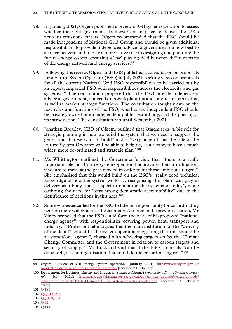- 78. In January 2021, Ofgem published a review of GB system operation to assess whether the right governance framework is in place to deliver the UK's net zero emissions targets. Ofgem recommended that the ESO should be made independent of National Grid Group and should be given additional responsibilities to provide independent advice to government on how best to achieve net zero and to play a more active role in designing and planning the future energy system, ensuring a level playing field between different parts of the energy network and energy services.99
- 79. Following this review, Ofgem and BEIS published a consultation on proposals for a Future System Operator (FSO) in July 2021, seeking views on proposals for all the current National Grid ESO responsibilities to be carried out by an expert, impartial FSO with responsibilities across the electricity and gas systems.<sup>100</sup> The consultation proposed that the FSO provide independent advice to government, undertake network planning and long-term forecasting, as well as market strategy functions. The consultation sought views on the new roles and functions of the FSO, whether the independent FSO should be privately owned or an independent public sector body, and the phasing of its introduction. The consultation ran until September 2021.
- 80. Jonathan Brearley, CEO of Ofgem, outlined that Ofgem sees "a big role for strategic planning in how we build the system that we need to support the generation that we want to build" and is "very hopeful that the role of the Future System Operator will be able to help us, as a sector, to have a much wider, more co-ordinated and strategic plan".<sup>101</sup>
- 81. Ms Whittington outlined the Government's view that "there is a really important role for a Future System Operator that provides that co-ordination, if we are to move at the pace needed in order to hit those ambitious targets". She emphasised that this would build on the ESO's "really good technical knowledge of how the system works … recognising the role it can play in delivery as a body that is expert in operating the systems of today", while outlining the need for "very strong democratic accountability" due to the significance of decisions in this area.<sup>102</sup>
- 82. Some witnesses called for the FSO to take on responsibility for co-ordinating net zero more widely across the economy. As noted in the previous section, Mr Virley proposed that the FSO could form the basis of his proposed "national energy agency", with responsibilities covering power, heat, transport and industry.103 Professor Helm argued that the main institution for the "delivery of the detail" should be the system operator, suggesting that this should be a "standalone agency", charged with achieving targets set by the Climate Change Committee and the Government in relation to carbon targets and security of supply.<sup>104</sup> Mr Buckland said that if the FSO proposals "can be done well, it is an organisation that could do the co-ordinating role".105

105 Q [144](https://committees.parliament.uk/oralevidence/2988/html/)

<sup>99</sup> Ofgem, 'Review of GB energy system operation' (January 2021): [https://www.ofgem.gov.uk/](https://www.ofgem.gov.uk/publications/review-gb-energy-system-operation) [publications/review-gb-energy-system-operation](https://www.ofgem.gov.uk/publications/review-gb-energy-system-operation) [accessed 23 February 2022]

<sup>100</sup> Department for Business, Energy and Industrial Strategy/Ofgem, *Proposals for a Future System Operator*  role (July 2021): [https://assets.publishing.service.gov.uk/government/uploads/system/uploads/](https://assets.publishing.service.gov.uk/government/uploads/system/uploads/attachment_data/file/1004044/energy-future-system-operator-condoc.pdf) [attachment\\_data/file/1004044/energy-future-system-operator-condoc.pdf](https://assets.publishing.service.gov.uk/government/uploads/system/uploads/attachment_data/file/1004044/energy-future-system-operator-condoc.pdf) [accessed 23 February 2022]

<sup>101</sup> Q [186](https://committees.parliament.uk/oralevidence/3133/html/)

<sup>102</sup> QQ [212–213](https://committees.parliament.uk/oralevidence/3134/html/)

<sup>103</sup> QQ [169, 174](https://committees.parliament.uk/oralevidence/3044/html/)

<sup>104</sup> Q [42](https://committees.parliament.uk/oralevidence/2601/html/)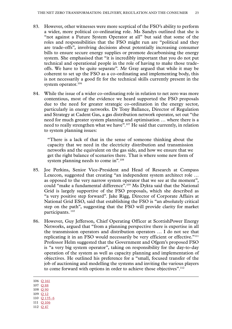- 83. However, other witnesses were more sceptical of the FSO's ability to perform a wider, more political co-ordinating role. Ms Sandys outlined that she is "not against a Future System Operator at all" but said that some of the roles and responsibilities that the FSO might run are "political and they are trade-offs", involving decisions about potentially increasing consumer bills to ensure secure energy supplies or promote decarbonising the energy system. She emphasised that "it is incredibly important that you do not put technical and operational people in the role of having to make those tradeoffs. We have to be quite separate". Mr Gray argued that while it may be coherent to set up the FSO as a co-ordinating and implementing body, this is not necessarily a good fit for the technical skills currently present in the system operator.<sup>106</sup>
- 84. While the issue of a wider co-ordinating role in relation to net zero was more contentious, most of the evidence we heard supported the FSO proposals due to the need for greater strategic co-ordination in the energy sector, particularly in energy networks. Dr Tony Ballance, Director of Regulation and Strategy at Cadent Gas, a gas distribution network operator, set out "the need for much greater system planning and optimisation … where there is a need to really strengthen what we have".<sup>107</sup> He said that currently, in relation to system planning issues:

"There is a lack of that in the sense of someone thinking about the capacity that we need in the electricity distribution and transmission networks and the equivalent on the gas side, and how we ensure that we get the right balance of scenarios there. That is where some new form of system planning needs to come in".<sup>108</sup>

- 85. Joe Perkins, Senior Vice-President and Head of Research at Compass Lexecon, suggested that creating "an independent system architect role … as opposed to the very narrow system operator that we see at the moment", could "make a fundamental difference".109 Ms Dykta said that the National Grid is largely supportive of the FSO proposals, which she described as "a very positive step forward". Jake Rigg, Director of Corporate Affairs at National Grid ESO, said that establishing the FSO is "an absolutely critical step on the path", suggesting that the FSO will provide clarity for market participants.<sup>110</sup>
- 86. However, Guy Jefferson, Chief Operating Officer at ScottishPower Energy Networks, argued that "from a planning perspective there is expertise in all the transmission operators and distribution operators … I do not see that replicating it in an FSO would necessarily be very efficient or effective."<sup>111</sup> Professor Helm suggested that the Government and Ofgem's proposed FSO is "a very big system operator", taking on responsibility for the day-to-day operation of the system as well as capacity planning and implementation of objectives. He outlined his preference for a "small, focused transfer of the job of auctioning and modelling the systems and inviting the various players to come forward with options in order to achieve those objectives".<sup>112</sup>

- 107 Q [88](https://committees.parliament.uk/oralevidence/2809/html/)
- 108 Q [90](https://committees.parliament.uk/oralevidence/2809/html/)
- 109 Q [12](https://committees.parliament.uk/oralevidence/2493/html/)
- 110 Q [135–6](https://committees.parliament.uk/oralevidence/2973/html/)
- 111 Q [106](https://committees.parliament.uk/oralevidence/2809/html/)
- 112 Q [47](https://committees.parliament.uk/oralevidence/2601/html/)

<sup>106</sup> Q [161](https://committees.parliament.uk/oralevidence/2989/html/)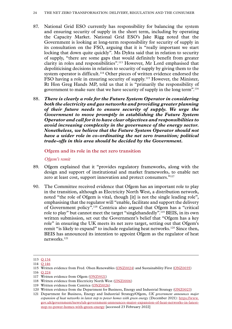- <span id="page-25-0"></span>87. National Grid ESO currently has responsibility for balancing the system and ensuring security of supply in the short term, including by operating the Capacity Market. National Grid ESO's Jake Rigg noted that the Government is looking at long-term responsibility for security of supply in its consultation on the FSO, arguing that it is "really important we start locking that down quite quickly". Ms Dykta said that in relation to security of supply, "there are some gaps that would definitely benefit from greater clarity in roles and responsibilities".113 However, Mr Lord emphasised that depoliticising decisions in relation to security of supply by giving them to the system operator is difficult.<sup>114</sup> Other pieces of written evidence endorsed the FSO having a role in ensuring security of supply.115 However, the Minister, Rt Hon Greg Hands MP, told us that it is "primarily the responsibility of government to make sure that we have security of supply in the long term".116
- 88. *There is clearly a role for the Future System Operator in considering both the electricity and gas networks and providing greater planning of their future needs to ensure security of supply. We urge the Government to move promptly in establishing the Future System Operator and call for it to have clear objectives and responsibilities to avoid increasing complexity in the governance of the energy sector. Nonetheless, we believe that the Future System Operator should not have a wider role in co-ordinating the net zero transition; political trade-offs in this area should be decided by the Government.*

#### **Ofgem and its role in the net zero transition**

#### *Ofgem's remit*

- 89. Ofgem explained that it "provides regulatory frameworks, along with the design and support of institutional and market frameworks, to enable net zero at least cost, support innovation and protect consumers."<sup>117</sup>
- 90. The Committee received evidence that Ofgem has an important role to play in the transition, although as Electricity North West, a distribution network, noted "the role of Ofgem is vital, though [it] is not the single leading role", emphasising that the regulator will "enable, facilitate and support the delivery of Government policy".118 Centrica also argued that Ofgem has a "critical role to play" but cannot meet the target "singlehandedly".119 BEIS, in its own written submission, set out the Government's belief that "Ofgem has a key role" in ensuring the UK meets its net zero target, setting out that Ofgem's remit "is likely to expand" to include regulating heat networks.<sup>120</sup> Since then, BEIS has announced its intention to appoint Ofgem as the regulator of heat networks.121

<sup>113</sup> Q [134](https://committees.parliament.uk/oralevidence/2973/html/)

<sup>114</sup> Q [146](https://committees.parliament.uk/oralevidence/2988/html/)

<sup>115</sup> Written evidence from Fred. Olsen Renewables [\(ONZ0024](https://committees.parliament.uk/writtenevidence/38202/html/)) and Sustainability First [\(ONZ0035\)](https://committees.parliament.uk/writtenevidence/38219/html/)

<sup>116</sup> Q [224](https://committees.parliament.uk/oralevidence/3134/html/)

<sup>117</sup> Written evidence from Ofgem [\(ONZ0021](https://committees.parliament.uk/writtenevidence/38197/html/))

<sup>118</sup> Written evidence from Electricity North West [\(ONZ0006\)](https://committees.parliament.uk/writtenevidence/38174/html/)

<sup>119</sup> Written evidence from Centrica [\(ONZ0026\)](https://committees.parliament.uk/writtenevidence/38204/html/)

<sup>120</sup> Written evidence from the Department for Business, Energy and Industrial Strategy ([ONZ0023](https://committees.parliament.uk/writtenevidence/38201/html/))

<sup>121</sup> Department for Business, Energy and Industrial Strategy/Ofgem, *UK government announces major expansion of heat networks in latest step to power homes with green energy* (December 2021): [https://www.](https://www.gov.uk/government/news/uk-government-announces-major-expansion-of-heat-networks-in-latest-step-to-power-homes-with-green-energy) [gov.uk/government/news/uk-government-announces-major-expansion-of-heat-networks-in-latest](https://www.gov.uk/government/news/uk-government-announces-major-expansion-of-heat-networks-in-latest-step-to-power-homes-with-green-energy)[step-to-power-homes-with-green-energy](https://www.gov.uk/government/news/uk-government-announces-major-expansion-of-heat-networks-in-latest-step-to-power-homes-with-green-energy) [accessed 23 February 2022]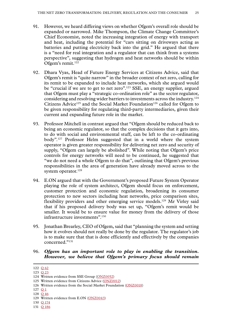- 91. However, we heard differing views on whether Ofgem's overall role should be expanded or narrowed. Mike Thompson, the Climate Change Committee's Chief Economist, noted the increasing integration of energy with transport and heat, including the potential for "cars sitting on driveways acting as batteries and putting electricity back into the grid." He argued that there is a "need for real integration and a regulator that can think from a systems perspective", suggesting that hydrogen and heat networks should be within Ofgem's remit.<sup>122</sup>
- 92. Dhara Vyas, Head of Future Energy Services at Citizens Advice, said that Ofgem's remit is "quite narrow" in the broader context of net zero, calling for its remit to be expanded to include heat networks, which she argued would be "crucial if we are to get to net zero".<sup>123</sup> SSE, an energy supplier, argued that Ofgem must play a "strategic co-ordination role" as the sector regulator, considering and resolving wider barriers to investments across the industry.124 Citizens Advice<sup>125</sup> and the Social Market Foundation<sup>126</sup> called for Ofgem to be given responsibility for regulating third-party intermediaries, given their current and expanding future role in the market.
- 93. Professor Mitchell in contrast argued that "Ofgem should be reduced back to being an economic regulator, so that the complex decisions that it gets into, to do with social and environmental stuff, can be left to the co-ordinating body".127 Professor Helm suggested that in a world where the system operator is given greater responsibility for delivering net zero and security of supply, "Ofgem can largely be abolished". While noting that Ofgem's price controls for energy networks will need to be continued, he suggested that "we do not need a whole Ofgem to do that", outlining that Ofgem's previous responsibilities in the area of generation have already moved across to the system operator.<sup>128</sup>
- 94. E.ON argued that with the Government's proposed Future System Operator playing the role of system architect, Ofgem should focus on enforcement, customer protection and economic regulation, broadening its consumer protection to new sectors including heat networks, price comparison sites, flexibility providers and other emerging service models.129 Mr Virley said that if his proposed delivery body was set up, "Ofgem's remit would be smaller. It would be to ensure value for money from the delivery of those infrastructure investments".130
- 95. Jonathan Brearley, CEO of Ofgem, said that "planning the system and setting how it evolves should not really be done by the regulator. The regulator's job is to make sure that that is done efficiently and effectively by the companies concerned."131

#### 96. *Ofgem has an important role to play in enabling the transition. However, we believe that Ofgem's primary focus should remain*

- 130 Q [174](https://committees.parliament.uk/oralevidence/3044/html/)
- 131 Q [186](https://committees.parliament.uk/oralevidence/3133/html/)

<sup>122</sup> Q [62](https://committees.parliament.uk/oralevidence/2671/html/)

<sup>123</sup> Q [23](https://committees.parliament.uk/oralevidence/2562/html/)

<sup>124</sup> Written evidence from SSE Group [\(ONZ0052](https://committees.parliament.uk/writtenevidence/38434/html/))

<sup>125</sup> Written evidence from Citizens Advice [\(ONZ0012\)](https://committees.parliament.uk/writtenevidence/38185/html/)

<sup>126</sup> Written evidence from the Social Market Foundation [\(ONZ0018](https://committees.parliament.uk/writtenevidence/38193/html/))

<sup>127</sup> **[Q](https://committees.parliament.uk/oralevidence/2454/html/)** 1

<sup>128</sup> Q [46](https://committees.parliament.uk/oralevidence/2601/html/)

<sup>129</sup> Written evidence from E.ON [\(ONZ0043](https://committees.parliament.uk/writtenevidence/38417/html/))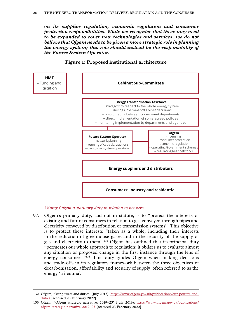<span id="page-27-0"></span>*on its supplier regulation, economic regulation and consumer protection responsibilities. While we recognise that these may need to be expanded to cover new technologies and services, we do not believe that Ofgem needs to be given a more strategic role in planning the energy system; this role should instead be the responsibility of the Future System Operator.*

# **Energy Transformation Taskforce** – strategy with respect to the whole energy system – driving Government/Cabinet decisions – co-ordinating between Government departments – direct implementation of some agreed policies – monitoring implementation by departments and agencies **Cabinet Sub-Committee HMT** – Funding and taxation **Energy suppliers and distributors Consumers: Industry and residential Future System Operator** – network planning – running of capacity auctions – day-to-day system operation **Ofgem** – licensing – consumer protection – economic regulation – operating Government schemes – regulating heat networks

#### **Figure 1: Proposed institutional architecture**

*Giving Ofgem a statutory duty in relation to net zero*

97. Ofgem's primary duty, laid out in statute, is to "protect the interests of existing and future consumers in relation to gas conveyed through pipes and electricity conveyed by distribution or transmission systems". This objective is to protect these interests "taken as a whole, including their interests in the reduction of greenhouse gases and in the security of the supply of gas and electricity to them".132 Ofgem has outlined that its principal duty "permeates our whole approach to regulation: it obliges us to evaluate almost any situation or proposed change in the first instance through the lens of energy consumers."<sup>133</sup> This duty guides Ofgem when making decisions and trade-offs in its regulatory framework between the three objectives of decarbonisation, affordability and security of supply, often referred to as the energy 'trilemma'.

<sup>132</sup> Ofgem, 'Our powers and duties' (July 2013): [https://www.ofgem.gov.uk/publications/our-powers-and](https://www.ofgem.gov.uk/publications/our-powers-and-duties)[duties](https://www.ofgem.gov.uk/publications/our-powers-and-duties) [accessed 23 February 2022]

<sup>133</sup> Ofgem, 'Ofgem strategic narrative: 2019–23' (July 2019): [https://www.ofgem.gov.uk/publications/](https://www.ofgem.gov.uk/publications/ofgem-strategic-narrative-2019-23) [ofgem-strategic-narrative-2019–23](https://www.ofgem.gov.uk/publications/ofgem-strategic-narrative-2019-23) [accessed 23 February 2022]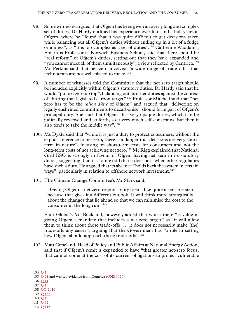- 98. Some witnesses argued that Ofgem has been given an overly long and complex set of duties. Dr Hardy outlined his experience over four and a half years at Ofgem, where he "found that it was quite difficult to get decisions taken while balancing out all Ofgem's duties without ending up in a bit of a fudge or a mess", as "it is too complex as a set of duties".134 Catherine Waddams, Emeritus Professor at Norwich Business School, said that there should be "real reform" of Ofgem's duties, setting out that they have expanded and "you cannot meet all of them simultaneously", a view reflected by Centrica.135 Mr Perkins said that net zero involved "a wide range of trade-offs" that technocrats are not well-placed to make.<sup>136</sup>
- 99. A number of witnesses told the Committee that the net zero target should be included explicitly within Ofgem's statutory duties. Dr Hardy said that he would "put net zero up top", balancing out its other duties against the context of "hitting that legislated carbon target".137 Professor Mitchell said that "net zero has to be the *raison d'être* of Ofgem" and argued that "delivering on legally enshrined commitments to decarbonise" should form part of Ofgem's principal duty. She said that Ofgem "has very opaque duties, which can be judicially reviewed and so forth, so it very much self-constrains, but then it also tends to take the middle way".138
- 100. Ms Dykta said that "while it is just a duty to protect consumers, without the explicit reference to net zero, there is a danger that decisions are very shortterm in nature", focusing on short-term costs for consumers and not the long-term costs of not achieving net zero.<sup>139</sup> Mr Rigg explained that National Grid ESO is strongly in favour of Ofgem having net zero in its statutory duties, suggesting that it is "quite odd that it does not" when other regulators have such a duty. He argued that its absence "holds back the system in certain ways", particularly in relation to offshore network investment.<sup>140</sup>
- 101. The Climate Change Committee's Mr Stark said:

"Giving Ofgem a net zero responsibility seems like quite a sensible step because that gives it a different outlook. It will think more strategically about the changes that lie ahead so that we can minimise the cost to the consumer in the long run."<sup>141</sup>

Flint Global's Mr Buckland, however, added that whilst there "is value in giving Ofgem a mandate that includes a net zero target" as "it will allow them to think about those trade-offs, … it does not necessarily make [the] trade-offs any easier", arguing that the Government has "a role in setting how Ofgem should approach those trade-offs".<sup>142</sup>

102. Matt Copeland, Head of Policy and Public Affairs at National Energy Action, said that if Ofgem's remit is expanded to have "that greater net-zero focus, that cannot come at the cost of its current obligations to protect vulnerable

- 136 Q [14](https://committees.parliament.uk/oralevidence/2493/html/)
- 137 [Q](https://committees.parliament.uk/oralevidence/2454/html/) 1
- 138 QQ [2, 10](https://committees.parliament.uk/oralevidence/2454/html/) 139 Q [136](https://committees.parliament.uk/oralevidence/2973/html/)
- 140 Q [136](https://committees.parliament.uk/oralevidence/2973/html/)
- 141 Q [62](https://committees.parliament.uk/oralevidence/2671/html/)
- 142 Q [146](https://committees.parliament.uk/oralevidence/2988/html/)

<sup>134</sup> [Q](https://committees.parliament.uk/oralevidence/2454/html/) 1

<sup>135</sup> Q [21](https://committees.parliament.uk/oralevidence/2493/html/) and written evidence from Centrica [\(ONZ0026\)](https://committees.parliament.uk/writtenevidence/38204/html/)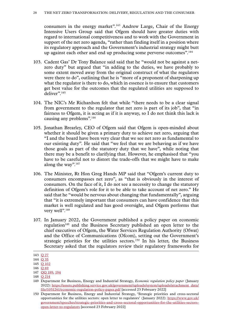consumers in the energy market".143 Andrew Large, Chair of the Energy Intensive Users Group said that Ofgem should have greater duties with regard to international competitiveness and to work with the Government in support of the net zero agenda, "rather than finding itself in a position where its regulatory approach and the Government's industrial strategy might butt up against each other and end up producing some perverse outcomes".144

- 103. Cadent Gas' Dr Tony Balance said said that he "would not be against a netzero duty" but argued that "in adding to the duties, we have probably to some extent moved away from the original construct of what the regulators were there to do", outlining that he is "more of a proponent of sharpening up what the regulator is there to do, which in essence is to ensure that customers get best value for the outcomes that the regulated utilities are supposed to deliver".<sup>145</sup>
- 104. The NIC's Mr Richardson felt that while "there needs to be a clear signal from government to the regulator that net zero is part of its job", that "in fairness to Ofgem, it is acting as if it is anyway, so I do not think this lack is causing any problems".146
- 105. Jonathan Brearley, CEO of Ofgem said that Ofgem is open-minded about whether it should be given a primary duty to achieve net zero, arguing that "I and the board have been very clear that we see net zero as fundamental to our existing duty". He said that "we feel that we are behaving as if we have those goals as part of the statutory duty that we have", while noting that there may be a benefit to clarifying that. However, he emphasised that "you have to be careful not to distort the trade-offs that we might have to make along the way".<sup>147</sup>
- 106. The Minister, Rt Hon Greg Hands MP said that "Ofgem's current duty to consumers encompasses net zero", as "that is obviously in the interest of consumers. On the face of it, I do not see a necessity to change the statutory definition of Ofgem's role for it to be able to take account of net zero." He said that he "would be nervous about changing that fundamentally", arguing that "it is extremely important that consumers can have confidence that this market is well regulated and has good oversight, and Ofgem performs that very well".<sup>148</sup>
- 107. In January 2022, the Government published a policy paper on economic regulation<sup>149</sup> and the Business Secretary published an open letter to the chief executives of Ofgem, the Water Services Regulation Authority (Ofwat) and the Office of Communications (Ofcom), setting out the Government's strategic priorities for the utilities sectors.<sup>150</sup> In his letter, the Business Secretary asked that the regulators review their regulatory frameworks for

<sup>143</sup> Q [27](https://committees.parliament.uk/oralevidence/2562/html/)

<sup>144</sup> Q [35](https://committees.parliament.uk/oralevidence/2562/html/)

<sup>145</sup> Q [102](https://committees.parliament.uk/oralevidence/2809/html/)

<sup>146</sup> Q [69](https://committees.parliament.uk/oralevidence/2672/html/)

<sup>147</sup> QQ [189,](https://committees.parliament.uk/oralevidence/3133/html/) 194

<sup>148</sup> Q [214](https://committees.parliament.uk/oralevidence/3134/html/)

<sup>149</sup> Department for Business, Energy and Industrial Strategy, *Economic regulation policy paper* (January 2022): [https://assets.publishing.service.gov.uk/government/uploads/system/uploads/attachment\\_data/](https://assets.publishing.service.gov.uk/government/uploads/system/uploads/attachment_data/file/1051261/economic-regulation-policy-paper.pdf) [file/1051261/economic-regulation-policy-paper.pdf](https://assets.publishing.service.gov.uk/government/uploads/system/uploads/attachment_data/file/1051261/economic-regulation-policy-paper.pdf) [accessed 23 February 2022]

<sup>150</sup> Department for Business, Energy and Industrial Strategy, 'Strategic priorities and cross-sectoral opportunities for the utilities sectors: open letter to regulators' (January 2022): [https://www.gov.uk/](https://www.gov.uk/government/speeches/strategic-priorities-and-cross-sectoral-opportunities-for-the-utilities-sectors-open-letter-to-regulators?utm_medium=email&utm_campaign=govuk-notifications-topic&utm_source=a0573ad3-3285-4ce1-82ca-17e4c584856a&utm_content=daily) [government/speeches/strategic-priorities-and-cross-sectoral-opportunities-for-the-utilities-sectors](https://www.gov.uk/government/speeches/strategic-priorities-and-cross-sectoral-opportunities-for-the-utilities-sectors-open-letter-to-regulators?utm_medium=email&utm_campaign=govuk-notifications-topic&utm_source=a0573ad3-3285-4ce1-82ca-17e4c584856a&utm_content=daily)[open-letter-to-regulators](https://www.gov.uk/government/speeches/strategic-priorities-and-cross-sectoral-opportunities-for-the-utilities-sectors-open-letter-to-regulators?utm_medium=email&utm_campaign=govuk-notifications-topic&utm_source=a0573ad3-3285-4ce1-82ca-17e4c584856a&utm_content=daily) [accessed 23 February 2022]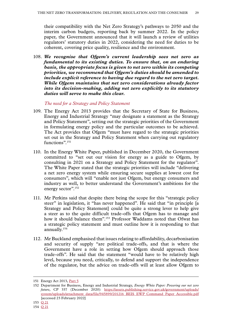<span id="page-30-0"></span>their compatibility with the Net Zero Strategy's pathways to 2050 and the interim carbon budgets, reporting back by summer 2022. In the policy paper, the Government announced that it will launch a review of utilities regulators' statutory duties in 2022, considering the need for duties to be coherent, covering price quality, resilience and the environment.

108. *We recognise that Ofgem's current leadership sees net zero as fundamental to its existing duties. To ensure that, on an enduring basis, the appropriate focus is given to net zero within its competing priorities, we recommend that Ofgem's duties should be amended to include explicit reference to having due regard to the net zero target. While Ofgem maintains that net zero considerations already factor into its decision-making, adding net zero explicitly to its statutory duties will serve to make this clear.*

*The need for a Strategy and Policy Statement*

- 109. The Energy Act 2013 provides that the Secretary of State for Business, Energy and Industrial Strategy "may designate a statement as the Strategy and Policy Statement", setting out the strategic priorities of the Government in formulating energy policy and the particular outcomes to be achieved. The Act provides that Ofgem "must have regard to the strategic priorities set out in the Strategy and Policy Statement when carrying out regulatory functions".<sup>151</sup>
- 110. In the Energy White Paper, published in December 2020, the Government committed to "set out our vision for energy as a guide to Ofgem, by consulting in 2021 on a Strategy and Policy Statement for the regulator". The White Paper stated that the strategic priorities will include "delivering a net zero energy system while ensuring secure supplies at lowest cost for consumers", which will "enable not just Ofgem, but energy consumers and industry as well, to better understand the Government's ambitions for the energy sector".<sup>152</sup>
- 111. Mr Perkins said that despite there being the scope for this "strategic policy steer" in legislation, it "has never happened". He said that "in principle [a Strategy and Policy Statement] could be quite a strong lever to help give a steer as to the quite difficult trade-offs that Ofgem has to manage and how it should balance them".<sup>153</sup> Professor Waddams noted that Ofwat has a strategic policy statement and must outline how it is responding to that annually.154
- 112. Mr Buckland emphasised that issues relating to affordability, decarbonisation and security of supply "are political trade-offs, and that is where the Government have a role in setting how Ofgem should approach those trade-offs". He said that the statement "would have to be relatively high level, because you need, critically, to defend and support the independence of the regulator, but the advice on trade-offs will at least allow Ofgem to

<sup>151</sup> Energy Act 2013, [Part 5](https://www.legislation.gov.uk/ukpga/2013/32/part/5/enacted)

<sup>152</sup> Department for Business, Energy and Industrial Strategy, *Energy White Paper: Powering our net zero future,* CP 337 (December 2020): [https://assets.publishing.service.gov.uk/government/uploads/](https://assets.publishing.service.gov.uk/government/uploads/system/uploads/attachment_data/file/945899/201216_BEIS_EWP_Command_Paper_Accessible.pdf) [system/uploads/attachment\\_data/file/945899/201216\\_BEIS\\_EWP\\_Command\\_Paper\\_Accessible.pdf](https://assets.publishing.service.gov.uk/government/uploads/system/uploads/attachment_data/file/945899/201216_BEIS_EWP_Command_Paper_Accessible.pdf) [accessed 23 February 2022]

<sup>153</sup> Q [21](https://committees.parliament.uk/oralevidence/2493/html/)

<sup>154</sup> Q [21](https://committees.parliament.uk/oralevidence/2493/html/)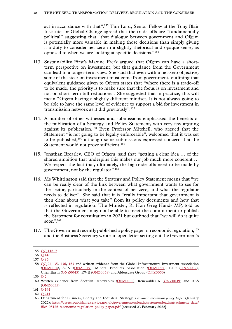act in accordance with that".<sup>155</sup> Tim Lord, Senior Fellow at the Tony Blair Institute for Global Change agreed that the trade-offs are "fundamentally political" suggesting that "that dialogue between government and Ofgem is potentially more valuable in making those decisions than simply giving it a duty to consider net zero in a slightly rhetorical and opaque sense, as opposed to when we are looking at specific decisions."156

- 113. Sustainability First's Maxine Frerk argued that Ofgem can have a shortterm perspective on investment, but that guidance from the Government can lead to a longer-term view. She said that even with a net-zero objective, some of the steer on investment must come from government, outlining that equivalent guidance given to Ofcom states that "where there is a trade-off to be made, the priority is to make sure that the focus is on investment and not on short-term bill reductions". She suggested that in practice, this will mean "Ofgem having a slightly different mindset. It is not always going to be able to have the same level of evidence to support a bid for investment in transmission network as it did previously".157
- 114. A number of other witnesses and submissions emphasised the benefits of the publication of a Strategy and Policy Statement, with very few arguing against its publication.158 Even Professor Mitchell, who argued that the Statement "is not going to be legally enforceable", welcomed that it was set to be published,159 although some submissions expressed concern that the Statement would not prove sufficient.<sup>160</sup>
- 115. Jonathan Brearley, CEO of Ofgem, said that "getting a clear idea … of the shared ambition that underpins this makes our job much more coherent … We respect the fact that, ultimately, the big trade-offs need to be made by government, not by the regulator".<sup>161</sup>
- 116. Ms Whittington said that the Strategy and Policy Statement means that "we can be really clear of the link between what government wants to see for the sector, particularly in the context of net zero, and what the regulator needs to deliver". She said that it is "really important that government is then clear about what you take" from its policy documents and how that is reflected in regulation. The Minister, Rt Hon Greg Hands MP, told us that the Government may not be able to meet the commitment to publish the Statement for consultation in 2021 but outlined that "we will do it quite soon".<sup>162</sup>
- 117. The Government recently published a policy paper on economic regulation,<sup>163</sup> and the Business Secretary wrote an open letter setting out the Government's

<sup>155</sup> QQ [146–7](https://committees.parliament.uk/oralevidence/2988/html/)

<sup>156</sup> Q [146](https://committees.parliament.uk/oralevidence/2988/html/)

<sup>157</sup> Q [86](https://committees.parliament.uk/oralevidence/2755/html/)

<sup>158</sup> [QQ](https://committees.parliament.uk/oralevidence/2562/html/) 24, [35](https://committees.parliament.uk/oralevidence/2562/html/), [136,](https://committees.parliament.uk/oralevidence/2973/html/) [163](https://committees.parliament.uk/oralevidence/2989/html/) and written evidence from the Global Infrastructure Investment Association [\(ONZ0014](https://committees.parliament.uk/writtenevidence/38188/html/)), SGN ([ONZ0015\)](https://committees.parliament.uk/writtenevidence/38189/html/), Mineral Products Association [\(ONZ0027\)](https://committees.parliament.uk/writtenevidence/38205/html/), EDF [\(ONZ0032](https://committees.parliament.uk/writtenevidence/38211/html/)), ClientEarth [\(ONZ0045\)](https://committees.parliament.uk/writtenevidence/38421/html/), RWE ([ONZ0048](https://committees.parliament.uk/writtenevidence/38428/html/)) and Aldersgate Group [\(ONZ0050](https://committees.parliament.uk/writtenevidence/38431/html/))

<sup>159</sup> [Q](https://committees.parliament.uk/oralevidence/2454/html/) 2

<sup>160</sup> Written evidence from Scottish Renewables ([ONZ0002](https://committees.parliament.uk/writtenevidence/38016/html/)), RenewableUK ([ONZ0049\)](https://committees.parliament.uk/writtenevidence/38430/html/) and RES [\(ONZ0055\)](https://committees.parliament.uk/writtenevidence/39194/html/)

<sup>161</sup> Q [194](https://committees.parliament.uk/oralevidence/3133/html/)

<sup>162</sup> Q [214](https://committees.parliament.uk/oralevidence/3134/html/)

<sup>163</sup> Department for Business, Energy and Industrial Strategy, *Economic regulation policy paper* (January 2022): [https://assets.publishing.service.gov.uk/government/uploads/system/uploads/attachment\\_data/](https://assets.publishing.service.gov.uk/government/uploads/system/uploads/attachment_data/file/1051261/economic-regulation-policy-paper.pdf) [file/1051261/economic-regulation-policy-paper.pdf](https://assets.publishing.service.gov.uk/government/uploads/system/uploads/attachment_data/file/1051261/economic-regulation-policy-paper.pdf) [accessed 23 February 2022]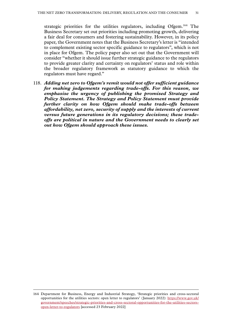strategic priorities for the utilities regulators, including Ofgem.164 The Business Secretary set out priorities including promoting growth, delivering a fair deal for consumers and fostering sustainability. However, in its policy paper, the Government notes that the Business Secretary's letter is "intended to complement existing sector specific guidance to regulators", which is not in place for Ofgem. The policy paper also set out that the Government will consider "whether it should issue further strategic guidance to the regulators to provide greater clarity and certainty on regulators' status and role within the broader regulatory framework as statutory guidance to which the regulators must have regard."

118. *Adding net zero to Ofgem's remit would not offer sufficient guidance for making judgements regarding trade-offs. For this reason, we emphasise the urgency of publishing the promised Strategy and Policy Statement. The Strategy and Policy Statement must provide further clarity on how Ofgem should make trade-offs between affordability, net zero, security of supply and the interests of current versus future generations in its regulatory decisions; these tradeoffs are political in nature and the Government needs to clearly set out how Ofgem should approach these issues.*

<sup>164</sup> Department for Business, Energy and Industrial Strategy, 'Strategic priorities and cross-sectoral opportunities for the utilities sectors: open letter to regulators' (January 2022): [https://www.gov.uk/](https://www.gov.uk/government/speeches/strategic-priorities-and-cross-sectoral-opportunities-for-the-utilities-sectors-open-letter-to-regulators?utm_medium=email&utm_campaign=govuk-notifications-topic&utm_source=a0573ad3-3285-4ce1-82ca-17e4c584856a&utm_content=daily) [government/speeches/strategic-priorities-and-cross-sectoral-opportunities-for-the-utilities-sectors](https://www.gov.uk/government/speeches/strategic-priorities-and-cross-sectoral-opportunities-for-the-utilities-sectors-open-letter-to-regulators?utm_medium=email&utm_campaign=govuk-notifications-topic&utm_source=a0573ad3-3285-4ce1-82ca-17e4c584856a&utm_content=daily)[open-letter-to-regulators](https://www.gov.uk/government/speeches/strategic-priorities-and-cross-sectoral-opportunities-for-the-utilities-sectors-open-letter-to-regulators?utm_medium=email&utm_campaign=govuk-notifications-topic&utm_source=a0573ad3-3285-4ce1-82ca-17e4c584856a&utm_content=daily) [accessed 23 February 2022]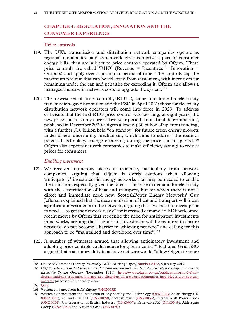# <span id="page-33-0"></span>**Chapter 4: REGULATION, INNOVATION AND THE CONSUMER EXPERIENCE**

#### **Price controls**

- 119. The UK's transmission and distribution network companies operate as regional monopolies, and as network costs comprise a part of consumer energy bills, they are subject to price controls operated by Ofgem. These price controls are called 'RIIO' (Revenue = Incentives + Innovation + Outputs) and apply over a particular period of time. The controls cap the maximum revenue that can be collected from customers, with incentives for remaining under the cap and penalties for exceeding it. Ofgem also allows a managed increase in network costs to upgrade the system.<sup>165</sup>
- 120. The newest set of price controls, RIIO-2, came into force for electricity transmission, gas distribution and the ESO in April 2021; those for electricity distribution network operators will come into force in 2023. To address criticisms that the first RIIO price control was too long, at eight years, the new price controls only cover a five-year period. In its final determinations, published in December 2020, Ofgem allowed  $\angle$  30 billion of up-front funding, with a further  $f<sub>10</sub>$  billion held "on standby" for future green energy projects under a new uncertainty mechanism, which aims to address the issue of potential technology change occurring during the price control period.166 Ofgem also expects network companies to make efficiency savings to reduce prices for consumers.

#### *Enabling investment*

- 121. We received numerous pieces of evidence, particularly from network companies, arguing that Ofgem is overly cautious when allowing 'anticipatory' investment in energy networks that may be needed to enable the transition, especially given the forecast increase in demand for electricity with the electrification of heat and transport, but for which there is not a direct and immediate need now. ScottishPower Energy Networks' Guy Jefferson explained that the decarbonisation of heat and transport will mean significant investments in the network, arguing that "we need to invest prior to need … to get the network ready" for increased demand.167 EDF welcomed recent moves by Ofgem that recognise the need for anticipatory investments in networks, arguing that "significant investment will be required to ensure networks do not become a barrier to achieving net zero" and calling for this approach to be "maintained and developed over time".<sup>168</sup>
- 122. A number of witnesses argued that allowing anticipatory investment and adapting price controls could reduce long-term costs.169 National Grid ESO argued that a statutory duty to achieve net zero would "allow Ofgem to more

<sup>165</sup> House of Commons Library, *Electricity Grids*, Briefing Paper, [Number 8472,](https://researchbriefings.files.parliament.uk/documents/CBP-8472/CBP-8472.pdf) 8 January 2019

<sup>166</sup> Ofgem, *RIIO-2 Final Determinations for Transmission and Gas Distribution network companies and the Electricity System Operator* (December 2020): [https://www.ofgem.gov.uk/publications/riio-2-final](https://www.ofgem.gov.uk/publications/riio-2-final-determinations-transmission-and-gas-distribution-network-companies-and-electricity-system-operator)[determinations-transmission-and-gas-distribution-network-companies-and-electricity-system](https://www.ofgem.gov.uk/publications/riio-2-final-determinations-transmission-and-gas-distribution-network-companies-and-electricity-system-operator)[operator](https://www.ofgem.gov.uk/publications/riio-2-final-determinations-transmission-and-gas-distribution-network-companies-and-electricity-system-operator) [accessed 23 February 2022]

<sup>167</sup> Q [88](https://committees.parliament.uk/oralevidence/2809/html/)

<sup>168</sup> Written evidence from EDF Energy [\(ONZ0032](https://committees.parliament.uk/writtenevidence/38211/html/))

<sup>169</sup> Written evidence from the Institution of Engineering and Technology [\(ONZ0013\)](https://committees.parliament.uk/writtenevidence/38187/html/) Solar Energy UK [\(ONZ0017\)](https://committees.parliament.uk/writtenevidence/38192/html/), Oil and Gas UK [\(ONZ0029\)](https://committees.parliament.uk/writtenevidence/38208/html/), ScottishPower [\(ONZ0033](https://committees.parliament.uk/writtenevidence/38212/html/)), Hitachi ABB Power Grids [\(ONZ0034](https://committees.parliament.uk/writtenevidence/38215/html/)), Confederation of British Industry [\(ONZ0037\)](https://committees.parliament.uk/writtenevidence/38221/html/), RenewableUK [\(ONZ0049\)](https://committees.parliament.uk/writtenevidence/38430/html/), Aldersgate Group [\(ONZ0050](https://committees.parliament.uk/writtenevidence/38431/html/)) and National Grid [\(ONZ0051\)](https://committees.parliament.uk/writtenevidence/38432/html/)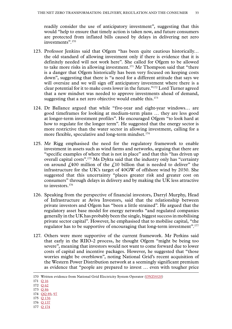readily consider the use of anticipatory investment", suggesting that this would "help to ensure that timely action is taken now, and future consumers are protected from inflated bills caused by delays in delivering net zero investments".<sup>170</sup>

- 123. Professor Jenkins said that Ofgem "has been quite cautious historically… the old standard of allowing investment only if there is evidence that it is definitely needed will not work here". She called for Ofgem to be allowed to take more risks in allowing investment.<sup>171</sup> Mr Thompson said that "there is a danger that Ofgem historically has been very focused on keeping costs down", suggesting that there is "a need for a different attitude that says we will oversize and we will sign off anticipatory investment where there is a clear potential for it to make costs lower in the future."172 Lord Turner agreed that a new mindset was needed to approve investments ahead of demand, suggesting that a net zero objective would enable this.<sup>173</sup>
- 124. Dr Ballance argued that while "five-year and eight-year windows… are good timeframes for looking at medium-term plans … they are less good at longer-term investment profiles". He encouraged Ofgem "to look hard at how to regulate for the longer term". He suggested that the energy sector is more restrictive than the water sector in allowing investment, calling for a more flexible, speculative and long-term mindset.<sup>174</sup>
- 125. Mr Rigg emphasised the need for the regulatory framework to enable investment in assets such as wind farms and networks, arguing that there are "specific examples of where that is not in place" and that this "has driven up overall capital costs".175 Ms Dykta said that the industry only has "certainty on around  $\ell$ ,400 million of the  $\ell$ ,10 billion that is needed to deliver" the infrastructure for the UK's target of 40GW of offshore wind by 2030. She suggested that this uncertainty "places greater risk and greater cost on consumers" through delays in delivery and by making the UK less attractive to investors.176
- 126. Speaking from the perspective of financial investors, Darryl Murphy, Head of Infrastructure at Aviva Investors, said that the relationship between private investors and Ofgem has "been a little strained". He argued that the regulatory asset base model for energy networks "and regulated companies generally in the UK has probably been the single, biggest success in mobilising private sector capital". However, he emphasised that to mobilise capital, "the regulator has to be supportive of encouraging that long-term investment".<sup>177</sup>
- 127. Others were more supportive of the current framework. Mr Perkins said that early in the RIIO-2 process, he thought Ofgem "might be being too severe", meaning that investors would not want to come forward due to lower costs of capital and incentive packages. However, he suggested that "those worries might be overblown", noting National Grid's recent acquisition of the Western Power Distribution network at a seemingly significant premium as evidence that "people are prepared to invest … even with tougher price

- 176 Q [137](https://committees.parliament.uk/oralevidence/2973/html/)
- 177 Q [174](https://committees.parliament.uk/oralevidence/3044/html/)

<sup>170</sup> Written evidence from National Grid Electricity System Operator [\(ONZ0020](https://committees.parliament.uk/writtenevidence/38196/html/))

<sup>171</sup> Q [16](https://committees.parliament.uk/oralevidence/2493/html/)

<sup>172</sup> Q [62](https://committees.parliament.uk/oralevidence/2671/html/)

<sup>173</sup> Q [86](https://committees.parliament.uk/oralevidence/2755/html/)

<sup>174</sup> QQ [89, 97](https://committees.parliament.uk/oralevidence/2809/html/)

<sup>175</sup> Q [136](https://committees.parliament.uk/oralevidence/2973/html/)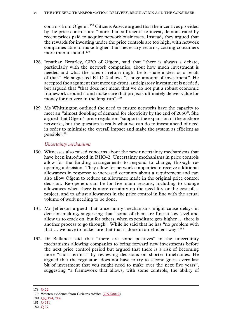<span id="page-35-0"></span>controls from Ofgem".178 Citizens Advice argued that the incentives provided by the price controls are "more than sufficient" to invest, demonstrated by recent prices paid to acquire network businesses. Instead, they argued that the rewards for investing under the price controls are too high, with network companies able to make higher than necessary returns, costing consumers more than it should.<sup>179</sup>

- 128. Jonathan Brearley, CEO of Ofgem, said that "there is always a debate, particularly with the network companies, about how much investment is needed and what the rates of return might be to shareholders as a result of that." He suggested RIIO-2 allows "a huge amount of investment". He accepted the argument that more up-front, anticipatory investment is needed, but argued that "that does not mean that we do not put a robust economic framework around it and make sure that projects ultimately deliver value for money for net zero in the long run".<sup>180</sup>
- 129. Ms Whittington outlined the need to ensure networks have the capacity to meet an "almost doubling of demand for electricity by the end of 2050". She argued that Ofgem's price regulation "supports the expansion of the onshore networks, but the question is really what we can do to invest ahead of need in order to minimise the overall impact and make the system as efficient as possible".181

#### *Uncertainty mechanisms*

- 130. Witnesses also raised concerns about the new uncertainty mechanisms that have been introduced in RIIO-2. Uncertainty mechanisms in price controls allow for the funding arrangements to respond to change, through reopening a decision. They allow for network companies to receive additional allowances in response to increased certainty about a requirement and can also allow Ofgem to reduce an allowance made in the original price control decision. Re-openers can be for five main reasons, including to change allowances when there is more certainty on the need for, or the cost of, a project, and to adjust allowances in the price control in line with the actual volume of work needing to be done.
- 131. Mr Jefferson argued that uncertainty mechanisms might cause delays in decision-making, suggesting that "some of them are fine at low level and allow us to crack on, but for others, when expenditure gets higher … there is another process to go through". While he said that he has "no problem with that  $\ldots$  we have to make sure that that is done in an efficient way".<sup>182</sup>
- 132. Dr Ballance said that "there are some positives" in the uncertainty mechanisms allowing companies to bring forward new investments before the next price control period but argued that there is a risk of becoming more "short-termist" by reviewing decisions on shorter timeframes. He argued that the regulator "does not have to try to second-guess every last bit of investment that you might need to make over the next five years", suggesting "a framework that allows, with some controls, the ability of

<sup>178</sup> Q [22](https://committees.parliament.uk/oralevidence/2493/html/)

<sup>179</sup> Written evidence from Citizens Advice [\(ONZ0012\)](https://committees.parliament.uk/writtenevidence/38185/html/)

<sup>180</sup> QQ [194, 206](https://committees.parliament.uk/oralevidence/3133/html/)

<sup>181</sup> Q [211](https://committees.parliament.uk/oralevidence/3134/html/)

<sup>182</sup> Q [97](https://committees.parliament.uk/oralevidence/2809/html/)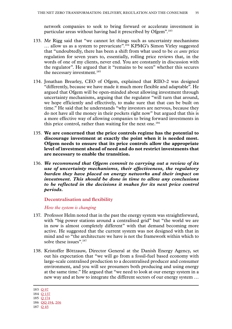<span id="page-36-0"></span>network companies to seek to bring forward or accelerate investment in particular areas without having had it prescribed by Ofgem".183

- 133. Mr Rigg said that "we cannot let things such as uncertainty mechanisms ... allow us as a system to prevaricate".<sup>184</sup> KPMG's Simon Virley suggested that "undoubtedly, there has been a shift from what used to be *ex ante* price regulation for seven years to, essentially, rolling price reviews that, in the words of one of my clients, never end. You are constantly in discussion with the regulator". He argued that it "remains to be seen" whether this secures the necessary investment.<sup>185</sup>
- 134. Jonathan Brearley, CEO of Ofgem, explained that RIIO-2 was designed "differently, because we have made it much more flexible and adaptable". He argued that Ofgem will be open-minded about allowing investment through uncertainty mechanisms, arguing that the regulator "will turn that around, we hope efficiently and effectively, to make sure that that can be built on time." He said that he understands "why investors are nervous, because they do not have all the money in their pockets right now" but argued that this is a more effective way of allowing companies to bring forward investments in this price control, rather than waiting for the next one.<sup>186</sup>
- 135. **We are concerned that the price controls regime has the potential to discourage investment at exactly the point when it is needed most. Ofgem needs to ensure that its price controls allow the appropriate level of investment ahead of need and do not restrict investments that are necessary to enable the transition.**
- 136. *We recommend that Ofgem commit to carrying out a review of its use of uncertainty mechanisms, their effectiveness, the regulatory burden they have placed on energy networks and their impact on investment. This should be done in time to allow any conclusions to be reflected in the decisions it makes for its next price control periods.*

**Decentralisation and flexibility**

*How the system is changing*

- 137. Professor Helm noted that in the past the energy system was straightforward, with "big power stations around a centralised grid" but "the world we are in now is almost completely different" with that demand becoming more active. He suggested that the current system was not designed with that in mind and so "the architecture we have is not the framework within which to solve these issues".<sup>187</sup>
- 138. Kristoffer Böttzauw, Director General at the Danish Energy Agency, set out his expectation that "we will go from a fossil-fuel based economy with large-scale centralised production to a decentralised producer and consumer environment, and you will see prosumers both producing and using energy at the same time." He argued that "we need to look at our energy system in a new way and at how to integrate the different sectors of our energy system …

<sup>183</sup> Q [97](https://committees.parliament.uk/oralevidence/2809/html/)

<sup>184</sup> Q [137](https://committees.parliament.uk/oralevidence/2973/html/)

<sup>185</sup> Q [174](https://committees.parliament.uk/oralevidence/3044/html/)

<sup>186</sup> QQ [194, 206](https://committees.parliament.uk/oralevidence/3133/html/)

<sup>187</sup> Q [45](https://committees.parliament.uk/oralevidence/2601/html/)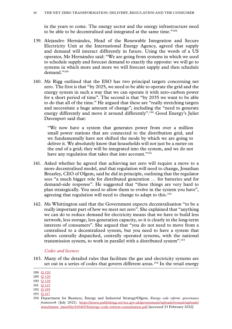<span id="page-37-0"></span>in the years to come. The energy sector and the energy infrastructure need to be able to be decentralised and integrated at the same time."188

- 139. Alejandro Hernández, Head of the Renewable Integration and Secure Electricity Unit at the International Energy Agency, agreed that supply and demand will interact differently in future. Using the words of a US operator, Mr Hernández said: "We are going from systems in which we used to schedule supply and forecast demand to exactly the opposite: we will go to systems in which more and more we will forecast supply and then schedule demand."189
- 140. Mr Rigg outlined that the ESO has two principal targets concerning net zero. The first is that "by 2025, we need to be able to operate the grid and the energy system in such a way that we can operate it with zero-carbon power for a short period of time". The second is that "by 2035 we want to be able to do that all of the time." He argued that these are "really stretching targets and necessitate a huge amount of change", including the "need to generate energy differently and move it around differently".190 Good Energy's Juliet Davenport said that:

"We now have a system that generates power from over a million small power stations that are connected to the distribution grid, and we fundamentally have not shifted the mode by which we are going to deliver it. We absolutely know that households will not just be a meter on the end of a grid; they will be integrated into the system, and we do not have any regulation that takes that into account."<sup>191</sup>

- 141. Asked whether he agreed that achieving net zero will require a move to a more decentralised model, and that regulation will need to change, Jonathan Brearley, CEO of Ofgem, said he did in principle, outlining that the regulator sees "a much bigger role for distributed generation … for batteries and for demand-side response". He suggested that "these things are very hard to plan strategically. You need to allow them to evolve in the system you have", agreeing that regulation will need to change to adapt to this.<sup>192</sup>
- 142. Ms Whittington said that the Government expects decentralisation "to be a really important part of how we meet net zero". She explained that "anything we can do to reduce demand for electricity means that we have to build less network, less storage, less generation capacity, so it is clearly in the long-term interests of consumers". She argued that "you do not need to move from a centralised to a decentralised system, but you need to have a system that allows centrally dispatched, centrally operated systems, with the national transmission system, to work in parallel with a distributed system".193

#### *Codes and licences*

143. Many of the detailed rules that facilitate the gas and electricity systems are set out in a series of codes that govern different areas.<sup>194</sup> In the retail energy

- 192 Q [195](https://committees.parliament.uk/oralevidence/3133/html/)
- 193 Q [217](https://committees.parliament.uk/oralevidence/3134/html/)

<sup>188</sup> Q [120](https://committees.parliament.uk/oralevidence/2972/html/)

<sup>189</sup> Q [120](https://committees.parliament.uk/oralevidence/2972/html/)

<sup>190</sup> Q [130](https://committees.parliament.uk/oralevidence/2973/html/)

<sup>191</sup> Q [115](https://committees.parliament.uk/oralevidence/2909/html/)

<sup>194</sup> Department for Business, Energy and Industrial Strategy/Ofgem, *Energy code reform: governance framework* (July 2021): [https://assets.publishing.service.gov.uk/government/uploads/system/uploads/](https://assets.publishing.service.gov.uk/government/uploads/system/uploads/attachment_data/file/1004005/energy-code-reform-consultation.pdf) [attachment\\_data/file/1004005/energy-code-reform-consultation.pdf](https://assets.publishing.service.gov.uk/government/uploads/system/uploads/attachment_data/file/1004005/energy-code-reform-consultation.pdf) [accessed 23 February 2022]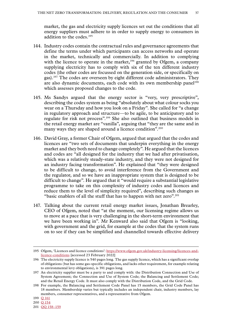market, the gas and electricity supply licences set out the conditions that all energy suppliers must adhere to in order to supply energy to consumers in addition to the codes.195

- 144. Industry codes contain the contractual rules and governance agreements that define the terms under which participants can access networks and operate in the market, technically and commercially. In addition to complying with the licence to operate in the market,<sup>196</sup> granted by Ofgem, a company supplying electricity has to comply with six of the ten different industry codes (the other codes are focussed on the generation side, or specifically on gas).<sup>197</sup> The codes are overseen by eight different code administrators. They are also dynamic documents, each code with its own membership panel<sup>198</sup> which assesses proposed changes to the code.
- 145. Ms Sandys argued that the energy sector is "very, very prescriptive", describing the codes system as being "absolutely about what colour socks you wear on a Thursday and how you look on a Friday". She called for "a change in regulatory approach and structure—to be agile, to be anticipatory and to regulate for risk not process".199 She also outlined that business models in the retail energy market are "vanilla", arguing that "they are the same and in many ways they are shaped around a licence condition".<sup>200</sup>
- 146. David Gray, a former Chair of Ofgem, argued that argued that the codes and licences are "two sets of documents that underpin everything in the energy market and they both need to change completely". He argued that the licences and codes are "all designed for the industry that we had after privatisation, which was a relatively steady-state industry, and they were not designed for an industry facing transformation". He explained that "they were designed to be difficult to change, to avoid interference from the Government and the regulator, and so we have an inappropriate system that is designed to be difficult to change". He argued that it "would require a substantial legislative programme to take on this complexity of industry codes and licences and reduce them to the level of simplicity required", describing such changes as "basic enablers of all the stuff that has to happen with net zero".<sup>201</sup>
- 147. Talking about the current retail energy market issues, Jonathan Brearley, CEO of Ofgem, noted that "at the moment, our licensing regime allows us to move at a pace that is very challenging in the short-term environment that we have been working in". Mr Kenward also said that Ofgem is "looking, with government and the grid, for example at the codes that the system runs on to see if they can be simplified and channelled towards effective delivery

<sup>195</sup> Ofgem, 'Licences and licence conditions': [https://www.ofgem.gov.uk/industry-licensing/licences-and](https://www.ofgem.gov.uk/industry-licensing/licences-and-licence-conditions)[licence-conditions](https://www.ofgem.gov.uk/industry-licensing/licences-and-licence-conditions) [accessed 23 February 2022]

<sup>196</sup> The electricity supply licence is 540 pages long. The gas supply licence, which has a significant overlap of obligations (but has some gas-specific obligations, and lacks other requirement, for example relating to environmental levy obligations), is 391 pages long.

<sup>197</sup> An electricity supplier must be a party to and comply with: the Distribution Connection and Use of System Agreement; the Connection and Use of System Code; the Balancing and Settlement Code; and the Retail Energy Code. It must also comply with the Distribution Code, and the Grid Code.

<sup>198</sup> For example, the Balancing and Settlement Code Panel has 15 members, the Grid Code Panel has 18 members. Membership varies but typically includes an independent chair, industry members, lay members, consumer representatives, and a representative from Ofgem.

<sup>199</sup> Q [161](https://committees.parliament.uk/oralevidence/2989/html/)

<sup>200</sup> Q [154](https://committees.parliament.uk/oralevidence/2989/html/)

<sup>201</sup> QQ [158–159](https://committees.parliament.uk/oralevidence/2989/html/)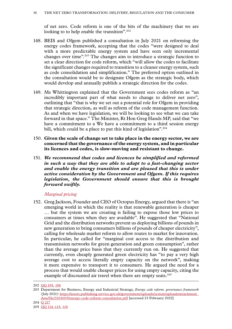<span id="page-39-0"></span>of net zero. Code reform is one of the bits of the machinery that we are looking to to help enable the transition".<sup>202</sup>

- 148. BEIS and Ofgem published a consultation in July 2021 on reforming the energy codes framework, accepting that the codes "were designed to deal with a more predictable energy system and have seen only incremental changes over time".203 The changes aim to introduce a strategic function to set a clear direction for code reform, which "will allow the codes to facilitate the significant changes required to transition to a cleaner energy system, such as code consolidation and simplification." The preferred option outlined in the consultation would be to designate Ofgem as the strategic body, which would develop and annually publish a strategic direction for the codes.
- 149. Ms Whittington explained that the Government sees codes reform as "an incredibly important part of what needs to change to deliver net zero", outlining that "that is why we set out a potential role for Ofgem in providing that strategic direction, as well as reform of the code management function. As and when we have legislation, we will be looking to see what we can take forward in that space." The Minister, Rt Hon Greg Hands MP, said that "we have a commitment to a We have a commitment to a third session energy bill, which could be a place to put this kind of legislation".<sup>204</sup>
- 150. **Given the scale of change set to take place in the energy sector, we are concerned that the governance of the energy system, and in particular its licences and codes, is slow-moving and resistant to change.**
- 151. *We recommend that codes and licences be simplified and reformed in such a way that they are able to adapt to a fast-changing sector and enable the energy transition and are pleased that this is under active consideration by the Government and Ofgem. If this requires legislation, the Government should ensure that this is brought forward swiftly.*

#### *Marginal pricing*

152. Greg Jackson, Founder and CEO of Octopus Energy, argued that there is "an emerging world in which the reality is that renewable generation is cheaper … but the system we are creating is failing to expose those low prices to consumers at times when they are available". He suggested that "National Grid and the distribution networks prevent us deploying billions of pounds in new generation to bring consumers billions of pounds of cheaper electricity", calling for wholesale market reform to allow routes to market for innovation. In particular, he called for "marginal cost access to the distribution and transmission networks for green generation and green consumption", rather than the average price basis that they currently run on. He suggested that currently, even cheaply generated green electricity has "to pay a very high average cost to access literally empty capacity on the network", making it more expensive to transport it to consumers. He argued the need for a process that would enable cheaper prices for using empty capacity, citing the example of discounted air travel when there are empty seats.<sup>205</sup>

<sup>202</sup> QQ [195, 198](https://committees.parliament.uk/oralevidence/3133/html/)

<sup>203</sup> Department for Business, Energy and Industrial Strategy, *Energy code reform: governance framework* (July 2021): [https://assets.publishing.service.gov.uk/government/uploads/system/uploads/attachment\\_](https://assets.publishing.service.gov.uk/government/uploads/system/uploads/attachment_data/file/1004005/energy-code-reform-consultation.pdf) [data/file/1004005/energy-code-reform-consultation.pdf](https://assets.publishing.service.gov.uk/government/uploads/system/uploads/attachment_data/file/1004005/energy-code-reform-consultation.pdf) [accessed 23 February 2022]

<sup>204</sup> Q [217](https://committees.parliament.uk/oralevidence/3134/html/)

<sup>205</sup> QQ [114–](https://committees.parliament.uk/oralevidence/2909/html/)115, 118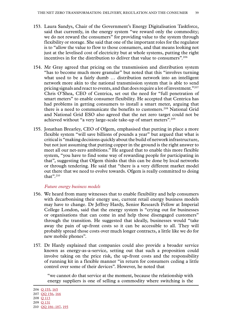- <span id="page-40-0"></span>153. Laura Sandys, Chair of the Government's Energy Digitalisation Taskforce, said that currently, in the energy system "we reward only the commodity; we do not reward the consumers" for providing value to the system through flexibility or storage. She said that one of the important roles for the regulator is to "allow the value to flow to those consumers, and that means looking not just at the levelised cost of electricity but at whole systems, putting the right incentives in for the distribution to deliver that value to consumers".206
- 154. Mr Gray agreed that pricing on the transmission and distribution system "has to become much more granular" but noted that this "involves turning what used to be a fairly dumb … distribution network into an intelligent network more akin to the national transmission system that is able to send pricing signals and react to events, and that does require a lot of investment." $^{207}$ Chris O'Shea, CEO of Centrica, set out the need for "full penetration of smart meters" to enable consumer flexibility. He accepted that Centrica has had problems in getting consumers to install a smart meter, arguing that there is a need to communicate the benefits to customers.<sup>208</sup> National Grid and National Grid ESO also agreed that the net zero target could not be achieved without "a very large-scale take-up of smart meters".<sup>209</sup>
- 155. Jonathan Brearley, CEO of Ofgem, emphasised that putting in place a more flexible system "will save billions of pounds a year" but argued that what is critical is "making decisions quickly about the build of network infrastructure, but not just assuming that putting copper in the ground is the right answer to meet all our net-zero ambitions." He argued that to enable this more flexible system, "you have to find some way of rewarding people for participating in that", suggesting that Ofgem thinks that this can be done by local networks or through tendering. He said that "there is a very different market model out there that we need to evolve towards. Ofgem is really committed to doing that". $210$

#### *Future energy business models*

- 156. We heard from many witnesses that to enable flexibility and help consumers with decarbonising their energy use, current retail energy business models may have to change. Dr Jeffrey Hardy, Senior Research Fellow at Imperial College London, said that the energy system is "crying out for businesses or organisations that can come in and help those disengaged customers" through the transition. He suggested that ideally, businesses would "take away the pain of up-front costs so it can be accessible to all. They will probably spread those costs over much longer contracts, a little like we do for new mobile phones".
- 157. Dr Hardy explained that companies could also provide a broader service known as energy-as-a-service, setting out that such a proposition could involve taking on the price risk, the up-front costs and the responsibility of running kit in a flexible manner "in return for consumers ceding a little control over some of their devices". However, he noted that

"we cannot do that service at the moment, because the relationship with energy suppliers is one of selling a commodity where switching is the

<sup>206</sup> Q [155, 165](https://committees.parliament.uk/oralevidence/2989/html/)

<sup>207</sup> QQ [156, 166](https://committees.parliament.uk/oralevidence/2989/html/)

<sup>208</sup> Q [113](https://committees.parliament.uk/oralevidence/2908/html/)

<sup>209</sup> Q [131](https://committees.parliament.uk/oralevidence/2973/html/)

<sup>210</sup> QQ [186–187, 195](https://committees.parliament.uk/oralevidence/3133/html/)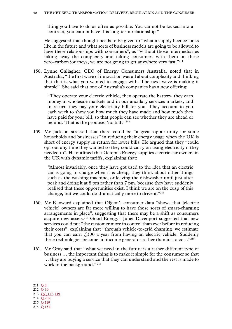thing you have to do as often as possible. You cannot be locked into a contract; you cannot have this long-term relationship."

He suggested that thought needs to be given to "what a supply licence looks like in the future and what sorts of business models are going to be allowed to have these relationships with consumers", as "without those intermediaries taking away the complexity and taking consumers with them on these zero-carbon journeys, we are not going to get anywhere very fast."<sup>211</sup>

158. Lynne Gallagher, CEO of Energy Consumers Australia, noted that in Australia, "the first wave of innovation was all about complexity and thinking that that is what you wanted to engage with. The next wave is making it simple". She said that one of Australia's companies has a new offering:

"They operate your electric vehicle, they operate the battery, they earn money in wholesale markets and in our ancillary services markets, and in return they pay your electricity bill for you. They account to you each week to show you how much they have made and how much they have paid for your bill, so that people can see whether they are ahead or behind. That is the promise: 'no bill'."<sup>212</sup>

159. Mr Jackson stressed that there could be "a great opportunity for some households and businesses" in reducing their energy usage when the UK is short of energy supply in return for lower bills. He argued that they "could opt out any time they wanted so they could carry on using electricity if they needed to". He outlined that Octopus Energy supplies electric car owners in the UK with dynamic tariffs, explaining that:

"Almost invariably, once they have got used to the idea that an electric car is going to charge when it is cheap, they think about other things such as the washing machine, or leaving the dishwasher until just after peak and doing it at 8 pm rather than 7 pm, because they have suddenly realised that these opportunities exist. I think we are on the cusp of this change, but we could do dramatically more to drive it."213

- 160. Mr Kenward explained that Ofgem's consumer data "shows that [electric vehicle] owners are far more willing to have those sorts of smart-charging arrangements in place", suggesting that there may be a shift as consumers acquire new assets.214 Good Energy's Juliet Davenport suggested that new services could put "the customer more in control than ever before in reducing their costs", explaining that "through vehicle-to-grid charging, we estimate that you can earn  $f(300)$  a year from having an electric vehicle. Suddenly these technologies become an income generator rather than just a cost."215
- 161. Mr Gray said that "what we need in the future is a rather different type of business … the important thing is to make it simple for the consumer so that … they are buying a service that they can understand and the rest is made to work in the background." <sup>216</sup>

211 [Q](https://committees.parliament.uk/oralevidence/2454/html/) 3

212 Q [30](https://committees.parliament.uk/oralevidence/2562/html/)

214 Q [202](https://committees.parliament.uk/oralevidence/3133/html/)

<sup>213</sup> QQ [117, 119](https://committees.parliament.uk/oralevidence/2909/html/)

<sup>215</sup> Q [119](https://committees.parliament.uk/oralevidence/2909/html/) 216 Q [154](https://committees.parliament.uk/oralevidence/2989/html/)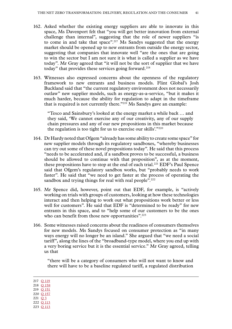- 162. Asked whether the existing energy suppliers are able to innovate in this space, Ms Davenport felt that "you will get better innovation from external challenge than internal", suggesting that the role of newer suppliers "is to come in and take that space".217 Ms Sandys suggested that the energy market should be opened up to new entrants from outside the energy sector, suggesting that companies that innovate well "are the ones that are going to win the sector but I am not sure it is what is called a supplier as we have today". Mr Gray agreed that "it will not be the sort of supplier that we have today" that provides these services going forward.<sup>218</sup>
- 163. Witnesses also expressed concerns about the openness of the regulatory framework to new entrants and business models. Flint Global's Josh Buckland said that "the current regulatory environment does not necessarily outlaw" new supplier models, such as energy-as-a-service, "but it makes it much harder, because the ability for regulation to adapt in the timeframe that is required is not currently there."219 Ms Sandys gave an example:

"Tesco and Sainsbury's looked at the energy market a while back … and they said, 'We cannot exercise any of our creativity, any of our supply chain pressures and any of our new propositions in this market because the regulation is too tight for us to exercise our skills'."220

- 164. Dr Hardy noted that Ofgem "already has some ability to create some space" for new supplier models through its regulatory sandboxes, "whereby businesses can try out some of these novel propositions today". He said that this process "needs to be accelerated and, if a sandbox proves to be successful, a business should be allowed to continue with that proposition", as at the moment, these propositions have to stop at the end of each trial.221 EDF's Paul Spence said that Ofgem's regulatory sandbox works, but "probably needs to work faster". He said that "we need to get faster at the process of operating the sandbox and trying things for real with real people".<sup>222</sup>
- 165. Mr Spence did, however, point out that EDF, for example, is "actively working on trials with groups of customers, looking at how these technologies interact and then helping to work out what propositions work better or less well for customers". He said that EDF is "determined to be ready" for new entrants in this space, and to "help some of our customers to be the ones who can benefit from those new opportunities".<sup>223</sup>
- 166. Some witnesses raised concerns about the readiness of consumers themselves for new models. Ms Sandys focused on consumer protection as "in many ways energy will no longer be an island." She argued that "we need a social tariff", along the lines of the "broadband-type model, where you end up with a very boring service but it is the essential service." Mr Gray agreed, telling us that

"there will be a category of consumers who will not want to know and there will have to be a baseline regulated tariff, a regulated distribution

217 Q [119](https://committees.parliament.uk/oralevidence/2909/html/) 218 Q [158](https://committees.parliament.uk/oralevidence/2989/html/)

- 219 Q [151](https://committees.parliament.uk/oralevidence/2988/html/)
- 220 Q [157](https://committees.parliament.uk/oralevidence/2989/html/)
- 221 [Q](https://committees.parliament.uk/oralevidence/2454/html/) 3
- 222 Q [113](https://committees.parliament.uk/oralevidence/2908/html/)
- 223 Q [113](https://committees.parliament.uk/oralevidence/2908/html/)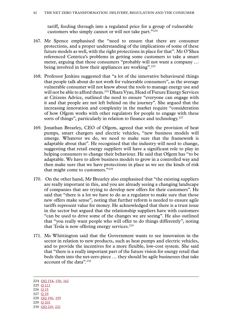tariff, feeding through into a regulated price for a group of vulnerable customers who simply cannot or will not take part."224

- 167. Mr Spence emphasised the "need to ensure that there are consumer protections, and a proper understanding of the implications of some of these future models as well, with the right protections in place for that". Mr O'Shea referenced Centrica's problems in getting some customers to take a smart meter, arguing that those consumers "probably will not want a company … being involved in how their appliances are working".<sup>225</sup>
- 168. Professor Jenkins suggested that "a lot of the innovative behavioural things that people talk about do not work for vulnerable consumers", as the average vulnerable consumer will not know about the tools to manage energy use and will not be able to afford them.<sup>226</sup> Dhara Vyas, Head of Future Energy Services at Citizens Advice, outlined the need to ensure "everyone can engage with it and that people are not left behind on the journey". She argued that the increasing innovation and complexity in the market require "consideration of how Ofgem works with other regulators for people to engage with these sorts of things", particularly in relation to finance and technology.<sup>227</sup>
- 169. Jonathan Brearley, CEO of Ofgem, agreed that with the provision of heat pumps, smart chargers and electric vehicles, "new business models will emerge. Whatever we do, we need to make sure that the framework is adaptable about that". He recognised that the industry will need to change, suggesting that retail energy suppliers will have a significant role to play in helping consumers to change their behaviour. He said that Ofgem has "to be adaptable. We have to allow business models to grow in a controlled way and then make sure that we have protections in place as we see the kinds of risk that might come to customers."228
- 170. On the other hand, Mr Brearley also emphasised that "the existing suppliers are really important in this, and you are already seeing a changing landscape of companies that are trying to develop new offers for their customers". He said that "there is a lot we have to do as a regulator to make sure that those new offers make sense", noting that further reform is needed to ensure agile tariffs represent value for money. He acknowledged that there is a trust issue in the sector but argued that the relationship suppliers have with customers "can be used to drive some of the changes we are seeing". He also outlined that "you really want people who will offer to do things differently", noting that Tesla is now offering energy services. $229$
- 171. Ms Whittington said that the Government wants to see innovation in the sector in relation to new products, such as heat pumps and electric vehicles, and to provide the incentives for a more flexible, low-cost system. She said that "there is a really important part of the future vision for energy retail that beds them into the net-zero piece … they should be agile businesses that take account of the data".230

- 226 Q [15](https://committees.parliament.uk/oralevidence/2493/html/)
- 227 Q [29](https://committees.parliament.uk/oralevidence/2562/html/)

<sup>224</sup> QQ [154, 158, 162](https://committees.parliament.uk/oralevidence/2989/html/) 225 Q [113](https://committees.parliament.uk/oralevidence/2908/html/)

<sup>228</sup> QQ [196, 199](https://committees.parliament.uk/oralevidence/3133/html/)

<sup>229</sup> Q [201](https://committees.parliament.uk/oralevidence/3133/html/)

<sup>230</sup> QQ [219, 221](https://committees.parliament.uk/oralevidence/3134/html/)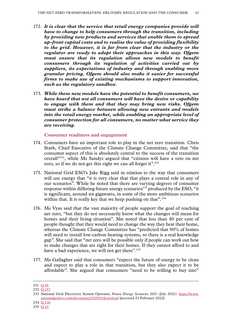- <span id="page-44-0"></span>172. *It is clear that the service that retail energy companies provide will have to change to help consumers through the transition, including by providing new products and services that enable them to spread up-front capital costs and to realise the value of providing flexibility to the grid. However, it is far from clear that the industry or the regulator are ready to adapt their approaches in this way. Ofgem must ensure that its regulation allows new models to benefit consumers through its regulation of activities carried out by suppliers, its expectations of industry and through enabling more granular pricing. Ofgem should also make it easier for successful firms to make use of existing mechanisms to support innovation, such as the regulatory sandbox.*
- 173. *While these new models have the potential to benefit consumers, we have heard that not all consumers will have the desire or capability to engage with them and that they may bring new risks. Ofgem must strike a balance between allowing new entrants and models into the retail energy market, while enabling an appropriate level of consumer protection for all consumers, no matter what service they are receiving.*

**Consumer readiness and engagement**

- 174. Consumers have an important role to play in the net zero transition. Chris Stark, Chief Executive of the Climate Change Committee, said that "the consumer aspect of this is absolutely central to the success of the transition overall"231, while Ms Sandys argued that "citizens will have a veto on net zero, so if we do not get this right we can all forget it".<sup>232</sup>
- 175. National Grid ESO's Jake Rigg said in relation to the way that consumers will use energy that "it is very clear that that plays a central role in any of our scenarios". While he noted that there are varying degrees of consumer response within differing future energy scenarios<sup>233</sup> produced by the ESO, "it is significant, around six gigawatts, in some of the more ambitious scenarios within that. It is really key that we keep pushing on that".<sup>234</sup>
- 176. Ms Vyas said that the vast majority of people support the goal of reaching net zero, "but they do not necessarily know what the changes will mean for homes and their living situation". She noted that less than 40 per cent of people thought that they would need to change the way they heat their home, whereas the Climate Change Committee has "predicted that 90% of homes will need to install low-carbon heating systems, so there is a real knowledge gap". She said that "net zero will be possible only if people can work out how to make changes that are right for their homes. If they cannot afford to and have a bad experience, we will not get there".<sup>235</sup>
- 177. Ms Gallagher said that consumers "expect the future of energy to be clean and expect to play a role in that transition, but they also expect it to be affordable". She argued that consumers "need to be willing to buy into"

234 Q [130](https://committees.parliament.uk/oralevidence/2973/html/)

<sup>231</sup> Q [59](https://committees.parliament.uk/oralevidence/2671/html/)

<sup>232</sup> Q [157](https://committees.parliament.uk/oralevidence/2989/html/)

<sup>233</sup> National Grid Electricity System Operator, *Future Energy Scenarios 2021* (July 2021): [https://www.](https://www.nationalgrideso.com/document/202851/download) [nationalgrideso.com/document/202851/download](https://www.nationalgrideso.com/document/202851/download) [accessed 23 February 2022]

<sup>235</sup> Q [23](https://committees.parliament.uk/oralevidence/2562/html/)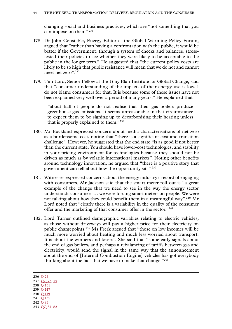changing social and business practices, which are "not something that you can impose on them".236

- 178. Dr John Constable, Energy Editor at the Global Warming Policy Forum, argued that "rather than having a confrontation with the public, it would be better if the Government, through a system of checks and balances, stresstested their policies to see whether they were likely to be acceptable to the public in the longer term." He suggested that "the current policy costs are likely to be so high that public resistance will mean that we do not and cannot meet net zero".<sup>237</sup>
- 179. Tim Lord, Senior Fellow at the Tony Blair Institute for Global Change, said that "consumer understanding of the impacts of their energy use is low. I do not blame consumers for that. It is because some of these issues have not been explained very well over a period of many years." He explained that

"about half of people do not realise that their gas boilers produce greenhouse gas emissions. It seems unreasonable in that circumstance to expect them to be signing up to decarbonising their heating unless that is properly explained to them."238

- 180. Mr Buckland expressed concern about media characterisations of net zero as a burdensome cost, noting that "there is a significant cost and transition challenge". However, he suggested that the end state "is as good if not better than the current state. You should have lower-cost technologies, and stability in your pricing environment for technologies because they should not be driven as much as by volatile international markets". Noting other benefits around technology innovation, he argued that "there is a positive story that government can tell about how the opportunity sits".<sup>239</sup>
- 181. Witnesses expressed concerns about the energy industry's record of engaging with consumers. Mr Jackson said that the smart meter roll-out is "a great example of the change that we need to see in the way the energy sector understands consumers … we were forcing smart meters on people. We were not talking about how they could benefit them in a meaningful way".<sup>240</sup> Mr Lord noted that "clearly there is a variability in the quality of the consumer offer and the marketing of that consumer offer in the sector."241
- 182. Lord Turner outlined demographic variables relating to electric vehicles, as those without driveways will pay a higher price for their electricity on public chargepoints.242 Ms Frerk argued that "those on low incomes will be much more worried about heating and much less worried about transport. It is about the winners and losers". She said that "some early signals about the end of gas boilers, and perhaps a rebalancing of tariffs between gas and electricity, would send the signal in the same way that the announcement about the end of [Internal Combustion Engine] vehicles has got everybody thinking about the fact that we have to make that change."243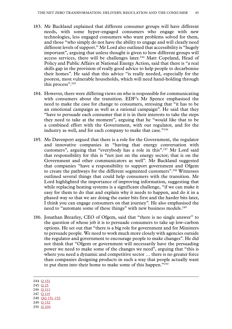- 183. Mr Buckland explained that different consumer groups will have different needs, with some hyper-engaged consumers who engage with new technologies, less engaged consumers who want problems solved for them, and those "who simply do not have the ability to engage and will clearly need different levels of support." Mr Lord also outlined that accessibility is "hugely important", arguing that unless thought is given to how different groups will access services, there will be challenges later.<sup>244</sup> Matt Copeland, Head of Policy and Public Affairs at National Energy Action, said that there is "a real skills gap in the provision of really good advice to help people to decarbonise their homes". He said that this advice "is really needed, especially for the poorest, most vulnerable households, which will need hand-holding through this process".<sup>245</sup>
- 184. However, there were differing views on who is responsible for communicating with consumers about the transition. EDF's Mr Spence emphasised the need to make the case for change to consumers, stressing that "it has to be an emotional campaign as well as a rational campaign". He said that they "have to persuade each consumer that it is in their interests to take the steps they need to take at the moment", arguing that he "would like that to be a combined effort with the Government, with our regulator, and for the industry as well, and for each company to make that case."246
- 185. Ms Davenport argued that there is a role for the Government, the regulator and innovative companies in "having that energy conversation with customers", arguing that "everybody has a role in this".<sup>247</sup> Mr Lord said that responsibility for this is "not just on the energy sector; that is on the Government and other communicators as well". Mr Buckland suggested that companies "have a responsibility to support government and Ofgem to create the pathways for the different segmented customers".248 Witnesses outlined several things that could help consumers with the transition. Mr Lord highlighted the importance of improving information, suggesting that while replacing heating systems is a significant challenge, "if we can make it easy for them to do that and explain why it needs to happen, and do it in a phased way so that we are doing the easier bits first and the harder bits later, I think you can engage consumers on that journey". He also emphasised the need to "automate some of these things" with new business models.<sup>249</sup>
- 186. Jonathan Brearley, CEO of Ofgem, said that "there is no single answer" to the question of whose job it is to persuade consumers to take up low-carbon options. He set out that "there is a big role for government and for Ministers to persuade people. We need to work much more closely with agencies outside the regulator and government to encourage people to make changes". He did not think that "Ofgem or government will necessarily have the persuading power we need to make some of the changes we need", arguing that "this is where you need a dynamic and competitive sector … there is no greater force than companies designing products in such a way that people actually want to put them into their home to make some of this happen."250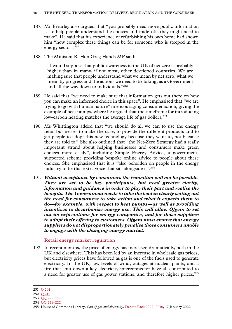- <span id="page-47-0"></span>187. Mr Brearley also argued that "you probably need more public information … to help people understand the choices and trade-offs they might need to make". He said that his experience of refurbishing his own home had shown him "how complex these things can be for someone who is steeped in the energy sector".251
- 188. The Minister, Rt Hon Greg Hands MP said:

"I would suppose that public awareness in the UK of net zero is probably higher than in many, if not most, other developed countries. We are making sure that people understand what we mean by net zero, what we mean by progress and the actions we need to be taking, as a Government and all the way down to individuals."252

- 189. He said that "we need to make sure that information gets out there on how you can make an informed choice in this space". He emphasised that "we are trying to go with human nature" in encouraging consumer action, giving the example of heat pumps, where he argued that the timeframe for introducing low-carbon heating matches the average life of gas boilers.<sup>253</sup>
- 190. Ms Whittington added that "we should do all we can to use the energy retail businesses to make the case, to provide the different products and to get people to adopt this new technology because they want to, not because they are told to." She also outlined that "the Net-Zero Strategy had a really important strand about helping businesses and consumers make green choices more easily", including Simple Energy Advice, a governmentsupported scheme providing bespoke online advice to people about these choices. She emphasised that it is "also beholden on people in the energy industry to be that extra voice that sits alongside it".<sup>254</sup>
- 191. *Without acceptance by consumers the transition will not be possible. They are set to be key participants, but need greater clarity, information and guidance in order to play their part and realise the benefits. The Government needs to take the lead in clearly setting out the need for consumers to take action and what it expects them to do—for example, with respect to heat pumps—as well as providing incentives to decarbonise energy use. This will allow Ofgem to set out its expectations for energy companies, and for those suppliers to adapt their offering to customers. Ofgem must ensure that energy suppliers do not disproportionately penalise those consumers unable to engage with the changing energy market.*

#### **Retail energy market regulation**

192. In recent months, the price of energy has increased dramatically, both in the UK and elsewhere. This has been led by an increase in wholesale gas prices, but electricity prices have followed as gas is one of the fuels used to generate electricity. In the UK, low levels of wind, outages at nuclear plants, and a fire that shut down a key electricity interconnector have all contributed to a need for greater use of gas power stations, and therefore higher prices.255

254 QQ [221–222](https://committees.parliament.uk/oralevidence/3134/html/)

<sup>251</sup> Q [201](https://committees.parliament.uk/oralevidence/3133/html/)

<sup>252</sup> Q [212](https://committees.parliament.uk/oralevidence/3134/html/)

<sup>253</sup> QQ [222, 226](https://committees.parliament.uk/oralevidence/3134/html/)

<sup>255</sup> House of Commons Library, *Cost of gas and electricity,* [Debate Pack 2022–0010,](https://commonslibrary.parliament.uk/research-briefings/cdp-2022-0010/) 17 January 2022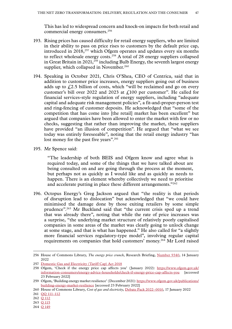This has led to widespread concern and knock-on impacts for both retail and commercial energy consumers.<sup>256</sup>

- 193. Rising prices has caused difficulty for retail energy suppliers, who are limited in their ability to pass on price rises to customers by the default price cap, introduced in 2018<sup>,257</sup> which Ofgem operates and updates every six months to reflect wholesale energy costs.<sup>258</sup> A total of 28 energy suppliers collapsed in Great Britain in  $2021$ <sup>259</sup> including Bulb Energy, the seventh largest energy supplier, which collapsed in November.<sup>260</sup>
- 194. Speaking in October 2021, Chris O'Shea, CEO of Centrica, said that in addition to customer price increases, energy suppliers going out of business adds up to  $\angle 2.5$  billion of costs, which "will be reclaimed and go on every customer's bill over 2022 and 2023 at  $\text{\textsterling}100$  per customer". He called for financial services-style regulation of energy suppliers, including "adequate capital and adequate risk management policies", a fit-and-proper-person test and ring-fencing of customer deposits. He acknowledged that "some of the competition that has come into [the retail] market has been excellent" but argued that companies have been allowed to enter the market with few or no checks, suggesting that rather than improving the market, these suppliers have provided "an illusion of competition". He argued that "what we see today was entirely foreseeable", noting that the retail energy industry "has lost money for the past five years".<sup>261</sup>
- 195. Mr Spence said:

"The leadership of both BEIS and Ofgem know and agree what is required today, and some of the things that we have talked about are being consulted on and are going through the process at the moment, but perhaps not as quickly as I would like and as quickly as needs to happen. There is an element whereby collectively we need to prioritise and accelerate putting in place these different arrangements."262

196. Octopus Energy's Greg Jackson argued that "the reality is that periods of disruption lead to dislocation" but acknowledged that "we could have minimised the damage done by those exiting retailers by some simple prudence".263 Mr Buckland said that "the current crisis sped up a trend that was already there", noting that while the rate of price increases was a surprise, "the underlying market structure of relatively poorly capitalised companies in some areas of the market was clearly going to unlock change at some stage, and that is what has happened." He also called for "a slightly more financial services regulatory-type model", involving regular capital requirements on companies that hold customers' money.264 Mr Lord raised

<sup>256</sup> House of Commons Library, *The energy price crunch,* Research Briefing, [Number 9340](https://researchbriefings.files.parliament.uk/documents/CBP-9340/CBP-9340.pdf), 14 January 2022

<sup>257</sup> [Domestic Gas and Electricity \(Tariff Cap\) Act 2018](https://www.legislation.gov.uk/ukpga/2018/21/contents/enacted/data.htm)

<sup>258</sup> Ofgem, 'Check if the energy price cap affects you' (January 2022): [https://www.ofgem.gov.uk/](https://www.ofgem.gov.uk/information-consumers/energy-advice-households/check-if-energy-price-cap-affects-you) [information-consumers/energy-advice-households/check-if-energy-price-cap-affects-you](https://www.ofgem.gov.uk/information-consumers/energy-advice-households/check-if-energy-price-cap-affects-you) [accessed 23 February 2022]

<sup>259</sup> Ofgem, 'Building energy market resilience' (December 2021): [https://www.ofgem.gov.uk/publications/](https://www.ofgem.gov.uk/publications/building-energy-market-resilience) [building-energy-market-resilience](https://www.ofgem.gov.uk/publications/building-energy-market-resilience) [accessed 23 February 2022]

<sup>260</sup> House of Commons Library, *Cost of gas and electricity,* [Debate Pack 2022–0010,](https://commonslibrary.parliament.uk/research-briefings/cdp-2022-0010/) 17 January 2022

<sup>261</sup> QQ [111–112](https://committees.parliament.uk/oralevidence/2908/html/)

<sup>262</sup> Q [112](https://committees.parliament.uk/oralevidence/2908/html/)

<sup>263</sup> Q [115](https://committees.parliament.uk/oralevidence/2909/html/)

<sup>264</sup> Q [149](https://committees.parliament.uk/oralevidence/2988/html/)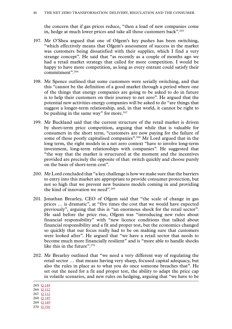the concern that if gas prices reduce, "then a load of new companies come in, hedge at much lower prices and take all those customers back".<sup>265</sup>

- 197. Mr O'Shea argued that one of Ofgem's key pushes has been switching, "which effectively means that Ofgem's assessment of success in the market was customers being dissatisfied with their supplier, which I find a very strange concept". He said that "as recently as a couple of months ago we had a retail market strategy that called for more competition. I would be happy to have more competition, as long as every entrant could satisfy their commitment".266
- 198. Mr Spence outlined that some customers were serially switching, and that this "cannot be the definition of a good market through a period where one of the things that energy companies are going to be asked to do in future is to help their customers on their journey to net zero". He argued that the potential new activities energy companies will be asked to do "are things that suggest a longer-term relationship, and, in that world, it cannot be right to be pushing in the same way" for more.<sup>267</sup>
- 199. Mr Buckland said that the current structure of the retail market is driven by short-term price competition, arguing that while that is valuable for consumers in the short term, "customers are now paying for the failure of some of those poorly capitalised companies".<sup>268</sup> Mr Lord argued that in the long term, the right models in a net zero context "have to involve long-term investment, long-term relationships with companies". He suggested that "the way that the market is structured at the moment and the incentives provided are precisely the opposite of that: switch quickly and choose purely on the basis of short-term cost".
- 200. Mr Lord concluded that "a key challenge is how we make sure that the barriers to entry into this market are appropriate to provide consumer protection, but not so high that we prevent new business models coming in and providing the kind of innovation we need".269
- 201. Jonathan Brearley, CEO of Ofgem said that "the scale of change in gas prices … is dramatic", at "five times the cost that we would have expected previously", arguing that this is "an enormous shock for the retail sector". He said before the price rise, Ofgem was "introducing new rules about financial responsibility" with "new licence conditions that talked about financial responsibility and a fit and proper test, but the economics changed so quickly that our focus really had to be on making sure that customers were looked after". He argued that "we have a retail sector that needs to become much more financially resilient" and is "more able to handle shocks like this in the future".<sup>270</sup>
- 202. Mr Brearley outlined that "we need a very different way of regulating the retail sector … that means having very sharp, focused capital adequacy, but also the rules in place as to what you do once someone breaches that". He set out the need for a fit and proper test, the ability to adapt the price cap in volatile scenarios, and new rules on hedging, arguing that "we have to be

265 Q [149](https://committees.parliament.uk/oralevidence/2988/html/)

266 Q [112](https://committees.parliament.uk/oralevidence/2908/html/)

267 Q [112](https://committees.parliament.uk/oralevidence/2908/html/)

268 Q [149](https://committees.parliament.uk/oralevidence/2988/html/)

269 O [149](https://committees.parliament.uk/oralevidence/2988/html/) 270 Q [196](https://committees.parliament.uk/oralevidence/3133/html/)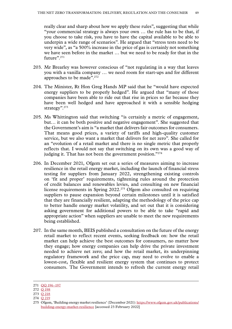really clear and sharp about how we apply these rules", suggesting that while "your commercial strategy is always your own … the rule has to be that, if you choose to take risk, you have to have the capital available to be able to underpin a wide range of scenarios". He argued that "stress tests need to be very wide", as "a 500% increase in the price of gas is certainly not something we have seen before in the market … but we need to be ready for that in the future".<sup>271</sup>

- 203. Mr Brearley was however conscious of "not regulating in a way that leaves you with a vanilla company … we need room for start-ups and for different approaches to be made".272
- 204. The Minister, Rt Hon Greg Hands MP said that he "would have expected energy suppliers to be properly hedged". He argued that "many of those companies have been able to ride out that rise in prices so far because they have been well hedged and have approached it with a sensible hedging strategy".<sup>273</sup>
- 205. Ms Whittington said that switching "is certainly a metric of engagement, but… it can be both positive and negative engagement". She suggested that the Government's aim is "a market that delivers fair outcomes for consumers. That means good prices, a variety of tariffs and high-quality customer service, but we also want a market that delivers for net zero". She called for an "evolution of a retail market and there is no single metric that properly reflects that. I would not say that switching on its own was a good way of judging it. That has not been the government position."274
- 206. In December 2021, Ofgem set out a series of measures aiming to increase resilience in the retail energy market, including the launch of financial stress testing for suppliers from January 2022, strengthening existing controls on 'fit and proper' requirements, tightening rules around the protection of credit balances and renewables levies, and consulting on new financial license requirements in Spring 2022.275 Ofgem also consulted on requiring suppliers to pause expansion beyond certain milestones until it is satisfied that they are financially resilient, adapting the methodology of the price cap to better handle energy market volatility, and set out that it is considering asking government for additional powers to be able to take "rapid and appropriate action" when suppliers are unable to meet the new requirements being established.
- 207. In the same month, BEIS published a consultation on the future of the energy retail market to reflect recent events, seeking feedback on: how the retail market can help achieve the best outcomes for consumers, no matter how they engage; how energy companies can help drive the private investment needed to achieve net zero; and how the retail market, its underpinning regulatory framework and the price cap, may need to evolve to enable a lowest-cost, flexible and resilient energy system that continues to protect consumers. The Government intends to refresh the current energy retail

<sup>271</sup> QQ [196–197](https://committees.parliament.uk/oralevidence/3133/html/)

<sup>272</sup> Q [198](https://committees.parliament.uk/oralevidence/3133/html/)

<sup>273</sup> Q [218](https://committees.parliament.uk/oralevidence/3134/html/)

<sup>274</sup> Q [219](https://committees.parliament.uk/oralevidence/3134/html/)

<sup>275</sup> Ofgem, 'Building energy market resilience' (December 2021): [https://www.ofgem.gov.uk/publications/](https://www.ofgem.gov.uk/publications/building-energy-market-resilience) [building-energy-market-resilience](https://www.ofgem.gov.uk/publications/building-energy-market-resilience) [accessed 23 February 2022]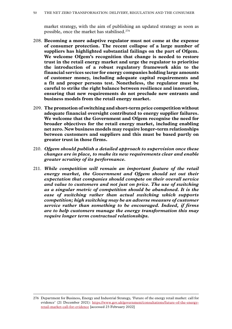market strategy, with the aim of publishing an updated strategy as soon as possible, once the market has stabilised.276

- 208. **Becoming a more adaptive regulator must not come at the expense of consumer protection. The recent collapse of a large number of suppliers has highlighted substantial failings on the part of Ofgem. We welcome Ofgem's recognition that change is needed to restore trust in the retail energy market and urge the regulator to prioritise the introduction of a robust regulatory framework akin to the financial services sector for energy companies holding large amounts of customer money, including adequate capital requirements and a fit and proper persons test. Nonetheless, the regulator must be careful to strike the right balance between resilience and innovation, ensuring that new requirements do not preclude new entrants and business models from the retail energy market.**
- 209. **The promotion of switching and short-term price competition without adequate financial oversight contributed to energy supplier failures. We welcome that the Government and Ofgem recognise the need for broader objectives for the retail energy market, including enabling net zero. New business models may require longer-term relationships between customers and suppliers and this must be based partly on greater trust in those firms.**
- 210. *Ofgem should publish a detailed approach to supervision once these changes are in place, to make its new requirements clear and enable greater scrutiny of its performance.*
- 211. *While competition will remain an important feature of the retail energy market, the Government and Ofgem should set out their expectation that companies should compete on their overall service and value to customers and not just on price. The use of switching as a singular metric of competition should be abandoned. It is the ease of switching rather than actual switching which supports competition; high switching may be an adverse measure of customer service rather than something to be encouraged. Indeed, if firms are to help customers manage the energy transformation this may require longer term contractual relationships.*

<sup>276</sup> Department for Business, Energy and Industrial Strategy, 'Future of the energy retail market: call for evidence' (21 December 2021): [https://www.gov.uk/government/consultations/future-of-the-energy](https://www.gov.uk/government/consultations/future-of-the-energy-retail-market-call-for-evidence)[retail-market-call-for-evidence](https://www.gov.uk/government/consultations/future-of-the-energy-retail-market-call-for-evidence) [accessed 23 February 2022]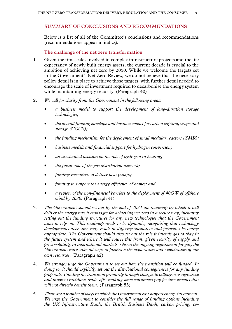#### <span id="page-52-0"></span>**SUMMARY OF CONCLUSIONS AND RECOMMENDATIONS**

Below is a list of all of the Committee's conclusions and recommendations (recommendations appear in italics).

#### **The challenge of the net zero transformation**

- 1. Given the timescales involved in complex infrastructure projects and the life expectancy of newly built energy assets, the current decade is crucial to the ambition of achieving net zero by 2050. While we welcome the targets set in the Government's Net Zero Review, we do not believe that the necessary policy detail is in place to achieve those targets, with further detail needed to encourage the scale of investment required to decarbonise the energy system while maintaining energy security. (Paragraph 40)
- 2. *We call for clarity from the Government in the following areas:*
	- *a business model to support the development of long-duration storage technologies;*
	- *the overall funding envelope and business model for carbon capture, usage and storage (CCUS);*
	- *the funding mechanism for the deployment of small modular reactors (SMR);*
	- *business models and financial support for hydrogen conversion;*
	- *an accelerated decision on the role of hydrogen in heating;*
	- *the future role of the gas distribution network;*
	- *funding incentives to deliver heat pumps;*
	- *funding to support the energy efficiency of homes; and*
	- *a review of the non-financial barriers to the deployment of 40GW of offshore wind by 2030.* (Paragraph 41)
- 3. *The Government should set out by the end of 2024 the roadmap by which it will deliver the energy mix it envisages for achieving net zero in a secure way, including setting out the funding structures for any new technologies that the Government aims to rely on. This roadmap needs to be dynamic, recognising that technology developments over time may result in differing incentives and priorities becoming appropriate. The Government should also set out the role it intends gas to play in the future system and where it will source this from, given security of supply and price volatility in international markets. Given the ongoing requirement for gas, the Government must take all steps to facilitate the exploration and exploitation of our own resources.* (Paragraph 42)
- 4. *We strongly urge the Government to set out how the transition will be funded. In doing so, it should explicitly set out the distributional consequences for any funding proposals. Funding the transition primarily through charges to billpayers is regressive and involves invidious trade-offs, making some consumers pay for investments that will not directly benefit them.* (Paragraph 53)
- 5. *There are a number of ways in which the Government can support energy investment. We urge the Government to consider the full range of funding options including the UK Infrastructure Bank, the British Business Bank, carbon pricing, co-*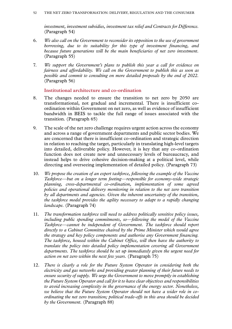*investment, investment subsidies, investment tax relief and Contracts for Difference.* (Paragraph 54)

- 6. *We also call on the Government to reconsider its opposition to the use of government borrowing, due to its suitability for this type of investment financing, and because future generations will be the main beneficiaries of net zero investment.* (Paragraph 55)
- 7. *We support the Government's plans to publish this year a call for evidence on fairness and affordability. We call on the Government to publish this as soon as possible and commit to consulting on more detailed proposals by the end of 2022.* (Paragraph 56)

**Institutional architecture and co-ordination**

- 8. The changes needed to ensure the transition to net zero by 2050 are transformational, not gradual and incremental. There is insufficient coordination within Government on net zero, as well as evidence of insufficient bandwidth in BEIS to tackle the full range of issues associated with the transition. (Paragraph 65)
- 9. The scale of the net zero challenge requires urgent action across the economy and across a range of government departments and public sector bodies. We are concerned that there is insufficient co-ordination and strategic direction in relation to reaching the target, particularly in translating high-level targets into detailed, deliverable policy. However, it is key that any co-ordination function does not create new and unnecessary levels of bureaucracy, and instead helps to drive cohesive decision-making at a political level, while directing and overseeing implementation of detailed policy. (Paragraph 73)
- 10. *We propose the creation of an expert taskforce, following the example of the Vaccine Taskforce—but on a longer term footing—responsible for economy-wide strategic planning, cross-departmental co-ordination, implementation of some agreed policies and operational delivery monitoring in relation to the net zero transition by all departments and agencies. Given the inherent uncertainty of the transition, the taskforce model provides the agility necessary to adapt to a rapidly changing landscape.* (Paragraph 74)
- 11. *The transformation taskforce will need to address politically sensitive policy issues, including public spending commitments, so—following the model of the Vaccine Taskforce—cannot be independent of Government. The taskforce should report directly to a Cabinet Committee chaired by the Prime Minister which would agree the strategy and key policy components and authorise any Government financing. The taskforce, housed within the Cabinet Office, will then have the authority to translate the policy into detailed policy implementation covering all Government departments. The taskforce should be set up immediately given the urgent need for action on net zero within the next few years.* (Paragraph 75)
- 12. *There is clearly a role for the Future System Operator in considering both the electricity and gas networks and providing greater planning of their future needs to ensure security of supply. We urge the Government to move promptly in establishing the Future System Operator and call for it to have clear objectives and responsibilities to avoid increasing complexity in the governance of the energy sector. Nonetheless, we believe that the Future System Operator should not have a wider role in coordinating the net zero transition; political trade-offs in this area should be decided by the Government.* (Paragraph 88)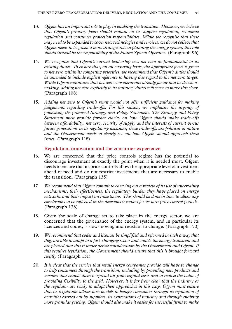- 13. *Ofgem has an important role to play in enabling the transition. However, we believe that Ofgem's primary focus should remain on its supplier regulation, economic regulation and consumer protection responsibilities. While we recognise that these may need to be expanded to cover new technologies and services, we do not believe that Ofgem needs to be given a more strategic role in planning the energy system; this role should instead be the responsibility of the Future System Operator.* (Paragraph 96)
- 14. *We recognise that Ofgem's current leadership sees net zero as fundamental to its existing duties. To ensure that, on an enduring basis, the appropriate focus is given to net zero within its competing priorities, we recommend that Ofgem's duties should be amended to include explicit reference to having due regard to the net zero target. While Ofgem maintains that net zero considerations already factor into its decisionmaking, adding net zero explicitly to its statutory duties will serve to make this clear.* (Paragraph 108)
- 15. *Adding net zero to Ofgem's remit would not offer sufficient guidance for making judgements regarding trade-offs. For this reason, we emphasise the urgency of publishing the promised Strategy and Policy Statement. The Strategy and Policy Statement must provide further clarity on how Ofgem should make trade-offs between affordability, net zero, security of supply and the interests of current versus future generations in its regulatory decisions; these trade-offs are political in nature and the Government needs to clearly set out how Ofgem should approach these issues.* (Paragraph 118)

#### **Regulation, innovation and the consumer experience**

- 16. We are concerned that the price controls regime has the potential to discourage investment at exactly the point when it is needed most. Ofgem needs to ensure that its price controls allow the appropriate level of investment ahead of need and do not restrict investments that are necessary to enable the transition. (Paragraph 135)
- 17. *We recommend that Ofgem commit to carrying out a review of its use of uncertainty mechanisms, their effectiveness, the regulatory burden they have placed on energy networks and their impact on investment. This should be done in time to allow any conclusions to be reflected in the decisions it makes for its next price control periods.* (Paragraph 136)
- 18. Given the scale of change set to take place in the energy sector, we are concerned that the governance of the energy system, and in particular its licences and codes, is slow-moving and resistant to change. (Paragraph 150)
- 19. *We recommend that codes and licences be simplified and reformed in such a way that they are able to adapt to a fast-changing sector and enable the energy transition and are pleased that this is under active consideration by the Government and Ofgem. If this requires legislation, the Government should ensure that this is brought forward swiftly* (Paragraph 151)
- 20. *It is clear that the service that retail energy companies provide will have to change to help consumers through the transition, including by providing new products and services that enable them to spread up-front capital costs and to realise the value of providing flexibility to the grid. However, it is far from clear that the industry or the regulator are ready to adapt their approaches in this way. Ofgem must ensure that its regulation allows new models to benefit consumers through its regulation of activities carried out by suppliers, its expectations of industry and through enabling more granular pricing. Ofgem should also make it easier for successful firms to make*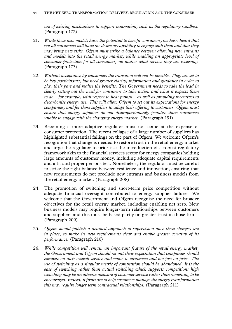*use of existing mechanisms to support innovation, such as the regulatory sandbox.*  (Paragraph 172)

- 21. *While these new models have the potential to benefit consumers, we have heard that not all consumers will have the desire or capability to engage with them and that they may bring new risks. Ofgem must strike a balance between allowing new entrants and models into the retail energy market, while enabling an appropriate level of consumer protection for all consumers, no matter what service they are receiving.* (Paragraph 173)
- 22. *Without acceptance by consumers the transition will not be possible. They are set to be key participants, but need greater clarity, information and guidance in order to play their part and realise the benefits. The Government needs to take the lead in clearly setting out the need for consumers to take action and what it expects them to do—for example, with respect to heat pumps—as well as providing incentives to decarbonise energy use. This will allow Ofgem to set out its expectations for energy companies, and for those suppliers to adapt their offering to customers. Ofgem must ensure that energy suppliers do not disproportionately penalise those consumers unable to engage with the changing energy market.* (Paragraph 191)
- 23. Becoming a more adaptive regulator must not come at the expense of consumer protection. The recent collapse of a large number of suppliers has highlighted substantial failings on the part of Ofgem. We welcome Ofgem's recognition that change is needed to restore trust in the retail energy market and urge the regulator to prioritise the introduction of a robust regulatory framework akin to the financial services sector for energy companies holding large amounts of customer money, including adequate capital requirements and a fit and proper persons test. Nonetheless, the regulator must be careful to strike the right balance between resilience and innovation, ensuring that new requirements do not preclude new entrants and business models from the retail energy market. (Paragraph 208)
- 24. The promotion of switching and short-term price competition without adequate financial oversight contributed to energy supplier failures. We welcome that the Government and Ofgem recognise the need for broader objectives for the retail energy market, including enabling net zero. New business models may require longer-term relationships between customers and suppliers and this must be based partly on greater trust in those firms. (Paragraph 209)
- 25. *Ofgem should publish a detailed approach to supervision once these changes are in place, to make its new requirements clear and enable greater scrutiny of its performance.* (Paragraph 210)
- 26. *While competition will remain an important feature of the retail energy market, the Government and Ofgem should set out their expectation that companies should compete on their overall service and value to customers and not just on price. The use of switching as a singular metric of competition should be abandoned. It is the ease of switching rather than actual switching which supports competition; high switching may be an adverse measure of customer service rather than something to be encouraged. Indeed, if firms are to help customers manage the energy transformation this may require longer term contractual relationships.* (Paragraph 211)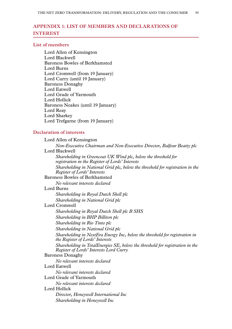# <span id="page-56-0"></span>**Appendix 1: LIST OF MEMBERS AND DECLARATIONS OF INTEREST**

#### **List of members**

Lord Allen of Kensington Lord Blackwell Baroness Bowles of Berkhamsted Lord Burns Lord Cromwell (from 19 January) Lord Curry (until 19 January) Baroness Donaghy Lord Eatwell Lord Grade of Yarmouth Lord Hollick Baroness Noakes (until 19 January) Lord Reay Lord Sharkey Lord Trefgarne (from 19 January)

#### **Declaration of interests**

Lord Allen of Kensington *Non-Executive Chairman and Non-Executive Director, Balfour Beatty plc* Lord Blackwell *Shareholding in Greencoat UK Wind plc, below the threshold for registration in the Register of Lords' Interests Shareholding in National Grid plc, below the threshold for registration in the Register of Lords' Interests* Baroness Bowles of Berkhamsted *No relevant interests declared* Lord Burns *Shareholding in Royal Dutch Shell plc Shareholding in National Grid plc* Lord Cromwell *Shareholding in Royal Dutch Shell plc B SHS Shareholding in BHP Billiton plc Shareholding in Rio Tinto plc Shareholding in National Grid plc Shareholding in NextEra Energy Inc, below the threshold for registration in the Register of Lords' Interests Shareholding in TotalEnergies SE, below the threshold for registration in the Register of Lords' Interests Lord Curry* Baroness Donaghy *No relevant interests declared* Lord Eatwell *No relevant interests declared* Lord Grade of Yarmouth *No relevant interests declared* Lord Hollick *Director, Honeywell International Inc Shareholding in Honeywell Inc*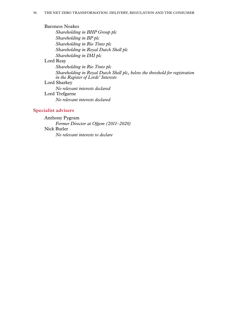Baroness Noakes *Shareholding in BHP Group plc Shareholding in BP plc Shareholding in Rio Tinto plc Shareholding in Royal Dutch Shell plc Shareholding in IMI plc* Lord Reay *Shareholding in Rio Tinto plc Shareholding in Royal Dutch Shell plc, below the threshold for registration in the Register of Lords' Interests* Lord Sharkey *No relevant interests declared* Lord Trefgarne *No relevant interests declared*

#### **Specialist advisers**

Anthony Pygram *Former Director at Ofgem (2011–2020)* Nick Butler *No relevant interests to declare*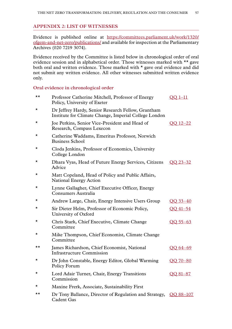#### <span id="page-58-0"></span>**Appendix 2: LIST OF WITNESSES**

Evidence is published online at [https://committees.parliament.uk/work/1320/](https://committees.parliament.uk/work/1320/ofgem-and-net-zero/publications/) [ofgem-and-net-zero/publications/](https://committees.parliament.uk/work/1320/ofgem-and-net-zero/publications/) and available for inspection at the Parliamentary Archives (020 7219 3074).

Evidence received by the Committee is listed below in chronological order of oral evidence session and in alphabetical order. Those witnesses marked with \*\* gave both oral and written evidence. Those marked with \* gave oral evidence and did not submit any written evidence. All other witnesses submitted written evidence only.

#### **Oral evidence in chronological order**

| ★★       | Professor Catherine Mitchell, Professor of Energy<br>Policy, University of Exeter                           | $OO$ 1-11       |
|----------|-------------------------------------------------------------------------------------------------------------|-----------------|
| $\star$  | Dr Jeffrey Hardy, Senior Research Fellow, Grantham<br>Institute for Climate Change, Imperial College London |                 |
| *        | Joe Perkins, Senior Vice-President and Head of<br>Research, Compass Lexecon                                 | OO 12–22        |
| *        | Catherine Waddams, Emeritus Professor, Norwich<br><b>Business School</b>                                    |                 |
| *        | Cloda Jenkins, Professor of Economics, University<br>College London                                         |                 |
| *        | Dhara Vyas, Head of Future Energy Services, Citizens<br>Advice                                              | OO 23–32        |
| *        | Matt Copeland, Head of Policy and Public Affairs,<br><b>National Energy Action</b>                          |                 |
| *        | Lynne Gallagher, Chief Executive Officer, Energy<br>Consumers Australia                                     |                 |
| *        | Andrew Large, Chair, Energy Intensive Users Group                                                           | $OO$ 33-40      |
| *        | Sir Dieter Helm, Professor of Economic Policy,<br>University of Oxford                                      | OO 41-54        |
| *        | Chris Stark, Chief Executive, Climate Change<br>Committee                                                   | $OO 55 - 63$    |
| *        | Mike Thompson, Chief Economist, Climate Change<br>Committee                                                 |                 |
| ★★       | James Richardson, Chief Economist, National<br><b>Infrastructure Commission</b>                             | $OO 64-69$      |
| *        | Dr John Constable, Energy Editor, Global Warming<br>Policy Forum                                            | $OO$ 70 $-80$   |
| $^\star$ | Lord Adair Turner, Chair, Energy Transitions<br>Commission                                                  | <u>OO 81–87</u> |
| *        | Maxine Frerk, Associate, Sustainability First                                                               |                 |
| ★★       | Dr Tony Ballance, Director of Regulation and Strategy, QQ 88-107<br>Cadent Gas                              |                 |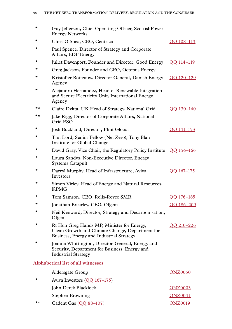| Guy Jefferson, Chief Operating Officer, ScottishPower<br><b>Energy Networks</b>                                                           |                                                                    |
|-------------------------------------------------------------------------------------------------------------------------------------------|--------------------------------------------------------------------|
| Chris O'Shea, CEO, Centrica                                                                                                               | OO 108-113                                                         |
| Paul Spence, Director of Strategy and Corporate<br>Affairs, EDF Energy                                                                    |                                                                    |
| Juliet Davenport, Founder and Director, Good Energy                                                                                       | OO 114-119                                                         |
| Greg Jackson, Founder and CEO, Octopus Energy                                                                                             |                                                                    |
| Kristoffer Böttzauw, Director General, Danish Energy<br>Agency                                                                            | 00 120 - 129                                                       |
| Alejandro Hernández, Head of Renewable Integration<br>and Secure Electricity Unit, International Energy<br>Agency                         |                                                                    |
| Claire Dykta, UK Head of Strategy, National Grid                                                                                          | OO 130-140                                                         |
| Jake Rigg, Director of Corporate Affairs, National<br>Grid ESO                                                                            |                                                                    |
| Josh Buckland, Director, Flint Global                                                                                                     | OO 141-153                                                         |
| Tim Lord, Senior Fellow (Net Zero), Tony Blair<br>Institute for Global Change                                                             |                                                                    |
|                                                                                                                                           |                                                                    |
| Laura Sandys, Non-Executive Director, Energy<br><b>Systems Catapult</b>                                                                   |                                                                    |
| Darryl Murphy, Head of Infrastructure, Aviva<br>Investors                                                                                 | OO 167-175                                                         |
| Simon Virley, Head of Energy and Natural Resources,<br><b>KPMG</b>                                                                        |                                                                    |
| Tom Samson, CEO, Rolls-Royce SMR                                                                                                          | OO 176-185                                                         |
| Jonathan Brearley, CEO, Ofgem                                                                                                             | OO 186-209                                                         |
| Neil Kenward, Director, Strategy and Decarbonisation,<br>Ofgem                                                                            |                                                                    |
| Rt Hon Greg Hands MP, Minister for Energy,<br>Clean Growth and Climate Change, Department for<br>Business, Energy and Industrial Strategy | <u>OO 210–226</u>                                                  |
| Joanna Whittington, Director-General, Energy and<br>Security, Department for Business, Energy and<br><b>Industrial Strategy</b>           |                                                                    |
| Alphabetical list of all witnesses                                                                                                        |                                                                    |
| <b>Aldersgate Group</b>                                                                                                                   | <b>ONZ0050</b>                                                     |
| Aviva Investors $(QQ 167-175)$                                                                                                            |                                                                    |
| John Derek Blacklock                                                                                                                      | <b>ONZ0003</b>                                                     |
| <b>Stephen Browning</b>                                                                                                                   | <b>ONZ0041</b>                                                     |
|                                                                                                                                           | David Gray, Vice Chair, the Regulatory Policy Institute QQ 154-166 |

\*\* Cadent Gas [\(QQ 88–107\)](https://committees.parliament.uk/oralevidence/2809/html/) [ONZ0019](https://committees.parliament.uk/writtenevidence/38195/html/)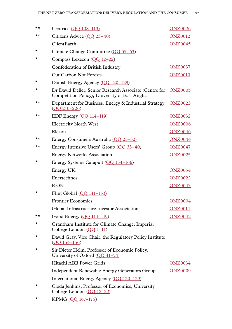| ★★ | Centrica (OO 108-113)                                                                                            | <b>ONZ0026</b> |
|----|------------------------------------------------------------------------------------------------------------------|----------------|
| ★★ | Citizens Advice (OO 23-40)                                                                                       | <b>ONZ0012</b> |
|    | ClientEarth                                                                                                      | <b>ONZ0045</b> |
| *  | Climate Change Committee (QQ 55–63)                                                                              |                |
| *  | Compass Lexecon (OO 12-22)                                                                                       |                |
|    | Confederation of British Industry                                                                                | <b>ONZ0037</b> |
|    | <b>Cut Carbon Not Forests</b>                                                                                    | <b>ONZ0010</b> |
| ★  | Danish Energy Agency (QQ 120-129)                                                                                |                |
| *  | Dr David Deller, Senior Research Associate (Centre for ONZ0005<br>Competition Policy), University of East Anglia |                |
| ★★ | Department for Business, Energy & Industrial Strategy<br>$(OQ 210 - 226)$                                        | <b>ONZ0023</b> |
| ★★ | EDF Energy $(QQ 114-119)$                                                                                        | <b>ONZ0032</b> |
|    | <b>Electricity North West</b>                                                                                    | <b>ONZ0006</b> |
|    | Elexon                                                                                                           | <b>ONZ0046</b> |
| ★★ | Energy Consumers Australia (OO 23–32)                                                                            | <b>ONZ0044</b> |
| ★★ | Energy Intensive Users' Group (OO 33–40)                                                                         | <b>ONZ0047</b> |
|    | <b>Energy Networks Association</b>                                                                               | <b>ONZ0025</b> |
| *  | Energy Systems Catapult (QQ 154-166)                                                                             |                |
|    | Energy UK                                                                                                        | <b>ONZ0054</b> |
|    | Enertechnos                                                                                                      | <b>ONZ0022</b> |
|    | E.ON                                                                                                             | <b>ONZ0043</b> |
| ★  | Flint Global $(QQ 141-153)$                                                                                      |                |
|    | <b>Frontier Economics</b>                                                                                        | <b>ONZ0004</b> |
|    | Global Infrastructure Investor Association                                                                       | <b>ONZ0014</b> |
| ★★ | Good Energy (QQ 114-119)                                                                                         | <b>ONZ0042</b> |
| *  | Grantham Institute for Climate Change, Imperial<br>College London $(QQ_1-11)$                                    |                |
| *  | David Gray, Vice Chair, the Regulatory Policy Institute<br>$(QQ 154 - 156)$                                      |                |
| *  | Sir Dieter Helm, Professor of Economic Policy,<br>University of Oxford $(OO 41-54)$                              |                |
|    | Hitachi ABB Power Grids                                                                                          | <b>ONZ0034</b> |
|    | <b>Independent Renewable Energy Generators Group</b>                                                             | <b>ONZ0009</b> |
|    | International Energy Agency (QQ 120-129)                                                                         |                |
| ★  | Cloda Jenkins, Professor of Economics, University<br>College London (QQ 12-22)                                   |                |

\* KPMG [\(QQ 167–175\)](https://committees.parliament.uk/oralevidence/3044/html/)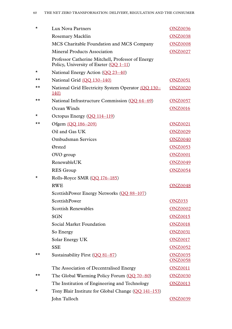| $^\star$ | Lux Nova Partners                                                                             | <u>ONZ0036</u>                   |
|----------|-----------------------------------------------------------------------------------------------|----------------------------------|
|          | Rosemary Macklin                                                                              | <b>ONZ0038</b>                   |
|          | MCS Charitable Foundation and MCS Company                                                     | <b>ONZ0008</b>                   |
|          | <b>Mineral Products Association</b>                                                           | <b>ONZ0027</b>                   |
|          | Professor Catherine Mitchell, Professor of Energy<br>Policy, University of Exeter $(QQ_1-11)$ |                                  |
| *        | National Energy Action $(OO 23-40)$                                                           |                                  |
| ★★       | National Grid (OO 130-140)                                                                    | <b>ONZ0051</b>                   |
| ★★       | National Grid Electricity System Operator (QQ 130-<br><u>140</u>                              | <b>ONZ0020</b>                   |
| ★★       | National Infrastructure Commission $(QQ_0 64-69)$                                             | <b>ONZ0057</b>                   |
|          | Ocean Winds                                                                                   | <b>ONZ0016</b>                   |
| ★        | Octopus Energy $(OQ 114-119)$                                                                 |                                  |
| ★★       | Ofgem (OO 186-209)                                                                            | <b>ONZ0021</b>                   |
|          | Oil and Gas UK                                                                                | <b>ONZ0029</b>                   |
|          | <b>Ombudsman Services</b>                                                                     | <b>ONZ0040</b>                   |
|          | Ørsted                                                                                        | <b>ONZ0053</b>                   |
|          | OVO group                                                                                     | <b>ONZ0001</b>                   |
|          | RenewableUK                                                                                   | <b>ONZ0049</b>                   |
|          | <b>RES</b> Group                                                                              | <b>ONZ0054</b>                   |
| $\star$  | Rolls-Royce SMR $(QQ 176-185)$                                                                |                                  |
|          | <b>RWE</b>                                                                                    | <b>ONZ0048</b>                   |
|          | ScottishPower Energy Networks (QQ 88-107)                                                     |                                  |
|          | <b>ScottishPower</b>                                                                          | <b>ONZ033</b>                    |
|          | <b>Scottish Renewables</b>                                                                    | <b>ONZ0002</b>                   |
|          | <b>SGN</b>                                                                                    | <b>ONZ0015</b>                   |
|          | Social Market Foundation                                                                      | <b>ONZ0018</b>                   |
|          | So Energy                                                                                     | <b>ONZ0031</b>                   |
|          | Solar Energy UK                                                                               | <b>ONZ0017</b>                   |
|          | <b>SSE</b>                                                                                    | <b>ONZ0052</b>                   |
| ★★       | Sustainability First $(QQ_81-87)$                                                             | <b>ONZ0035</b><br><b>ONZ0058</b> |
|          | The Association of Decentralised Energy                                                       | <b>ONZ0011</b>                   |
| ★★       | The Global Warming Policy Forum $(QQ 70-80)$                                                  | <b>ONZ0030</b>                   |
|          | The Institution of Engineering and Technology                                                 | <b>ONZ0013</b>                   |
| *        | Tony Blair Institute for Global Change (QQ 141-153)                                           |                                  |
|          | John Tulloch                                                                                  | <b>ONZ0039</b>                   |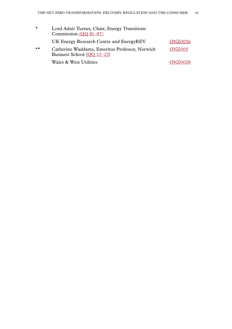| $\star$      | Lord Adair Turner, Chair, Energy Transitions<br>Commission (OO 81-87)          |                |
|--------------|--------------------------------------------------------------------------------|----------------|
|              | UK Energy Research Centre and EnergyREV                                        | <b>ONZ0056</b> |
| $\star\star$ | Catherine Waddams, Emeritus Professor, Norwich<br>Business School $(OO 12-22)$ | <b>ONZ005</b>  |
|              | Wales & West Utilities                                                         | <b>ONZ0028</b> |